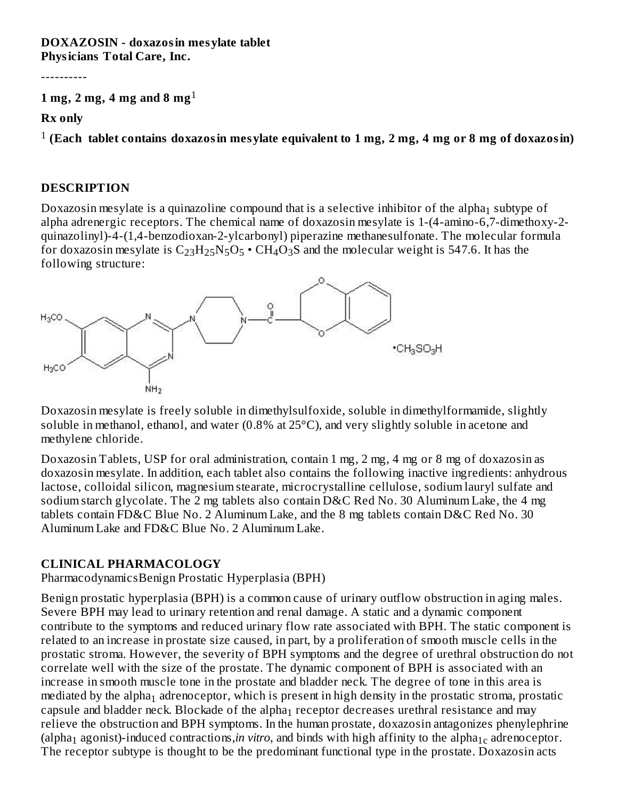#### **DOXAZOSIN - doxazosin mesylate tablet Physicians Total Care, Inc.**

----------

### **1 mg, 2 mg, 4 mg and 8 mg** 1

**Rx only**

**(Each tablet contains doxazosin mesylate equivalent to 1 mg, 2 mg, 4 mg or 8 mg of doxazosin)** 1

#### **DESCRIPTION**

Doxazosin mesylate is a quinazoline compound that is a selective inhibitor of the alpha $_1$  subtype of alpha adrenergic receptors. The chemical name of doxazosin mesylate is 1-(4-amino-6,7-dimethoxy-2 quinazolinyl)-4-(1,4-benzodioxan-2-ylcarbonyl) piperazine methanesulfonate. The molecular formula for doxazosin mesylate is  $\rm{C_{23}H_{25}N_5O_5}$   $\boldsymbol{\cdot}$  CH<sub>4</sub>O<sub>3</sub>S and the molecular weight is 547.6. It has the following structure:



Doxazosin mesylate is freely soluble in dimethylsulfoxide, soluble in dimethylformamide, slightly soluble in methanol, ethanol, and water (0.8% at 25°C), and very slightly soluble in acetone and methylene chloride.

Doxazosin Tablets, USP for oral administration, contain 1 mg, 2 mg, 4 mg or 8 mg of doxazosin as doxazosin mesylate. In addition, each tablet also contains the following inactive ingredients: anhydrous lactose, colloidal silicon, magnesium stearate, microcrystalline cellulose, sodium lauryl sulfate and sodium starch glycolate. The 2 mg tablets also contain D&C Red No. 30 Aluminum Lake, the 4 mg tablets contain FD&C Blue No. 2 Aluminum Lake, and the 8 mg tablets contain D&C Red No. 30 Aluminum Lake and FD&C Blue No. 2 Aluminum Lake.

### **CLINICAL PHARMACOLOGY**

PharmacodynamicsBenign Prostatic Hyperplasia (BPH)

Benign prostatic hyperplasia (BPH) is a common cause of urinary outflow obstruction in aging males. Severe BPH may lead to urinary retention and renal damage. A static and a dynamic component contribute to the symptoms and reduced urinary flow rate associated with BPH. The static component is related to an increase in prostate size caused, in part, by a proliferation of smooth muscle cells in the prostatic stroma. However, the severity of BPH symptoms and the degree of urethral obstruction do not correlate well with the size of the prostate. The dynamic component of BPH is associated with an increase in smooth muscle tone in the prostate and bladder neck. The degree of tone in this area is mediated by the alpha $_1$  adrenoceptor, which is present in high density in the prostatic stroma, prostatic capsule and bladder neck. Blockade of the alpha $_1$  receptor decreases urethral resistance and may relieve the obstruction and BPH symptoms. In the human prostate, doxazosin antagonizes phenylephrine (alpha<sub>1</sub> agonist)-induced contractions,*in vitro*, and binds with high affinity to the alpha<sub>1c</sub> adrenoceptor. The receptor subtype is thought to be the predominant functional type in the prostate. Doxazosin acts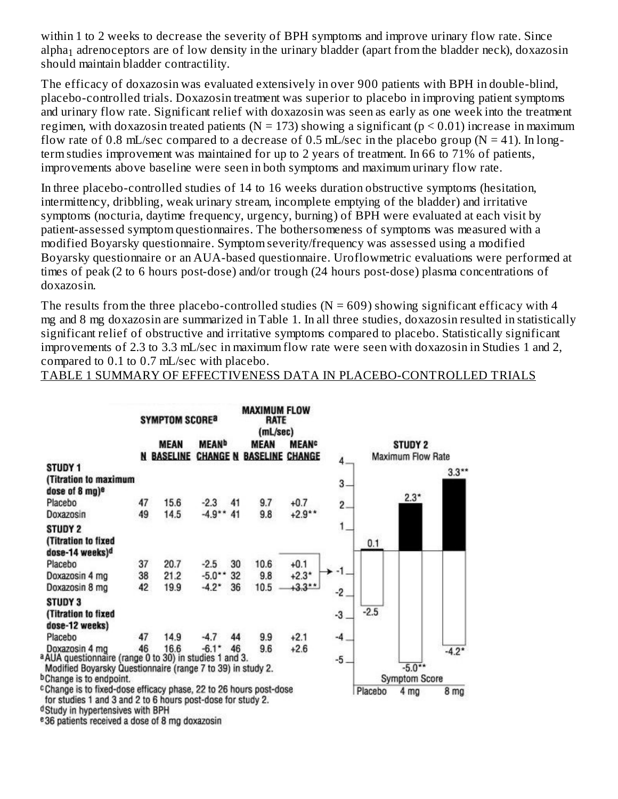within 1 to 2 weeks to decrease the severity of BPH symptoms and improve urinary flow rate. Since alpha $_1$  adrenoceptors are of low density in the urinary bladder (apart from the bladder neck), doxazosin should maintain bladder contractility.

The efficacy of doxazosin was evaluated extensively in over 900 patients with BPH in double-blind, placebo-controlled trials. Doxazosin treatment was superior to placebo in improving patient symptoms and urinary flow rate. Significant relief with doxazosin was seen as early as one week into the treatment regimen, with doxazosin treated patients ( $N = 173$ ) showing a significant ( $p \le 0.01$ ) increase in maximum flow rate of 0.8 mL/sec compared to a decrease of 0.5 mL/sec in the placebo group ( $N = 41$ ). In longterm studies improvement was maintained for up to 2 years of treatment. In 66 to 71% of patients, improvements above baseline were seen in both symptoms and maximum urinary flow rate.

In three placebo-controlled studies of 14 to 16 weeks duration obstructive symptoms (hesitation, intermittency, dribbling, weak urinary stream, incomplete emptying of the bladder) and irritative symptoms (nocturia, daytime frequency, urgency, burning) of BPH were evaluated at each visit by patient-assessed symptom questionnaires. The bothersomeness of symptoms was measured with a modified Boyarsky questionnaire. Symptom severity/frequency was assessed using a modified Boyarsky questionnaire or an AUA-based questionnaire. Uroflowmetric evaluations were performed at times of peak (2 to 6 hours post-dose) and/or trough (24 hours post-dose) plasma concentrations of doxazosin.

The results from the three placebo-controlled studies ( $N = 609$ ) showing significant efficacy with 4 mg and 8 mg doxazosin are summarized in Table 1. In all three studies, doxazosin resulted in statistically significant relief of obstructive and irritative symptoms compared to placebo. Statistically significant improvements of 2.3 to 3.3 mL/sec in maximum flow rate were seen with doxazosin in Studies 1 and 2, compared to 0.1 to 0.7 mL/sec with placebo.

TABLE 1 SUMMARY OF EFFECTIVENESS DATA IN PLACEBO-CONTROLLED TRIALS

|                                                                                                                                                                                     | <b>MAXIMUM FLOW</b><br><b>SYMPTOM SCORE®</b><br><b>RATE</b><br>(mL/sec) |                   |                          |    |                                 |                          |                |         |                          |                 |
|-------------------------------------------------------------------------------------------------------------------------------------------------------------------------------------|-------------------------------------------------------------------------|-------------------|--------------------------|----|---------------------------------|--------------------------|----------------|---------|--------------------------|-----------------|
|                                                                                                                                                                                     |                                                                         | <b>MEAN</b>       | <b>MEAN</b> <sup>b</sup> |    | <b>MEAN</b>                     | <b>MEAN</b> <sup>c</sup> |                |         | <b>STUDY 2</b>           |                 |
|                                                                                                                                                                                     |                                                                         | <b>N BASELINE</b> |                          |    | <b>CHANGE N BASELINE CHANGE</b> |                          |                |         | <b>Maximum Flow Rate</b> |                 |
| STUDY 1                                                                                                                                                                             |                                                                         |                   |                          |    |                                 |                          |                |         |                          | $3.3***$        |
| (Titration to maximum<br>dose of 8 mg) <sup>e</sup>                                                                                                                                 |                                                                         |                   |                          |    |                                 |                          | $3 -$          |         |                          |                 |
| Placebo                                                                                                                                                                             | 47                                                                      | 15.6              | $-2.3$                   | 41 | 9.7                             | $+0.7$                   | $\overline{2}$ |         | $2.3*$                   |                 |
| Doxazosin                                                                                                                                                                           | 49                                                                      | 14.5              | $-4.9**$                 | 41 | 9.8                             | $+2.9**$                 |                |         |                          |                 |
| <b>STUDY 2</b>                                                                                                                                                                      |                                                                         |                   |                          |    |                                 |                          |                |         |                          |                 |
| (Titration to fixed<br>dose-14 weeks) <sup>d</sup>                                                                                                                                  |                                                                         |                   |                          |    |                                 |                          |                | 0.1     |                          |                 |
| Placebo                                                                                                                                                                             | 37                                                                      | 20.7              | $-2.5$                   | 30 | 10.6                            | $+0.1$                   |                |         |                          |                 |
| Doxazosin 4 mg                                                                                                                                                                      | 38                                                                      | 21.2              | $-5.0**$                 | 32 | 9.8                             | $+2.3*$                  |                |         |                          |                 |
| Doxazosin 8 mg                                                                                                                                                                      | 42                                                                      | 19.9              | $-4.2*$                  | 36 | 10.5                            | $+3.3**$                 | -2             |         |                          |                 |
| <b>STUDY 3</b><br>(Titration to fixed<br>dose-12 weeks)                                                                                                                             |                                                                         |                   |                          |    |                                 |                          | -3             | $-2.5$  |                          |                 |
| Placebo                                                                                                                                                                             | 47                                                                      | 14.9              | $-4.7$                   | 44 | 9.9                             | $+2.1$                   | $-4$           |         |                          |                 |
| Doxazosin 4 mg<br>a AUA questionnaire (range 0 to 30) in studies 1 and 3.<br>Modified Boyarsky Questionnaire (range 7 to 39) in study 2.                                            | 46                                                                      | 16.6              | $-6.1*$                  | 46 | 9.6                             | $+2.6$                   | $-5$           |         | $-5.0**$                 | $-4.2*$         |
| <sup>b</sup> Change is to endpoint.                                                                                                                                                 |                                                                         |                   |                          |    |                                 |                          |                |         | <b>Symptom Score</b>     |                 |
| <sup>c</sup> Change is to fixed-dose efficacy phase, 22 to 26 hours post-dose<br>for studies 1 and 3 and 2 to 6 hours post-dose for study 2.<br>Charles in businessenging with DDLL |                                                                         |                   |                          |    |                                 |                          |                | Placebo | 4 mg                     | 8 <sub>mg</sub> |

<sup>d</sup>Study in hypertensives with BPH

<sup>e</sup>36 patients received a dose of 8 mg doxazosin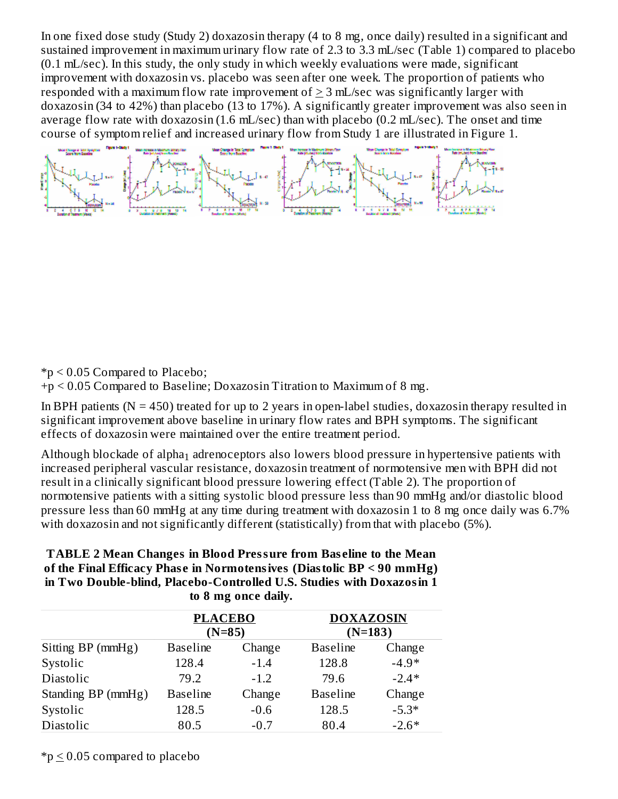In one fixed dose study (Study 2) doxazosin therapy (4 to 8 mg, once daily) resulted in a significant and sustained improvement in maximum urinary flow rate of 2.3 to 3.3 mL/sec (Table 1) compared to placebo (0.1 mL/sec). In this study, the only study in which weekly evaluations were made, significant improvement with doxazosin vs. placebo was seen after one week. The proportion of patients who responded with a maximum flow rate improvement of  $\geq 3$  mL/sec was significantly larger with doxazosin (34 to 42%) than placebo (13 to 17%). A significantly greater improvement was also seen in average flow rate with doxazosin (1.6 mL/sec) than with placebo (0.2 mL/sec). The onset and time course of symptom relief and increased urinary flow from Study 1 are illustrated in Figure 1.

\*p < 0.05 Compared to Placebo;

+p < 0.05 Compared to Baseline; Doxazosin Titration to Maximum of 8 mg.

In BPH patients ( $N = 450$ ) treated for up to 2 years in open-label studies, doxazosin therapy resulted in significant improvement above baseline in urinary flow rates and BPH symptoms. The significant effects of doxazosin were maintained over the entire treatment period.

Although blockade of alpha $_{\rm 1}$  adrenoceptors also lowers blood pressure in hypertensive patients with increased peripheral vascular resistance, doxazosin treatment of normotensive men with BPH did not result in a clinically significant blood pressure lowering effect (Table 2). The proportion of normotensive patients with a sitting systolic blood pressure less than 90 mmHg and/or diastolic blood pressure less than 60 mmHg at any time during treatment with doxazosin 1 to 8 mg once daily was 6.7% with doxazosin and not significantly different (statistically) from that with placebo (5%).

| <b>TABLE 2 Mean Changes in Blood Pressure from Baseline to the Mean</b> |
|-------------------------------------------------------------------------|
| of the Final Efficacy Phase in Normotensives (Diastolic BP < 90 mmHg)   |
| in Two Double-blind, Placebo-Controlled U.S. Studies with Doxazosin 1   |
| to 8 mg once daily.                                                     |

|                    | <b>PLACEBO</b>  | $(N=85)$ | <b>DOXAZOSIN</b><br>$(N=183)$ |         |  |
|--------------------|-----------------|----------|-------------------------------|---------|--|
| Sitting BP (mmHg)  | <b>Baseline</b> | Change   | <b>Baseline</b>               | Change  |  |
| Systolic           | 128.4           | $-1.4$   | 128.8                         | $-4.9*$ |  |
| Diastolic          | 79.2            | $-1.2$   | 79.6                          | $-2.4*$ |  |
| Standing BP (mmHg) | <b>Baseline</b> | Change   | <b>Baseline</b>               | Change  |  |
| Systolic           | 128.5           | $-0.6$   | 128.5                         | $-5.3*$ |  |
| Diastolic          | 80.5            | $-0.7$   | 80.4                          | $-2.6*$ |  |

 $*_p$   $\leq$  0.05 compared to placebo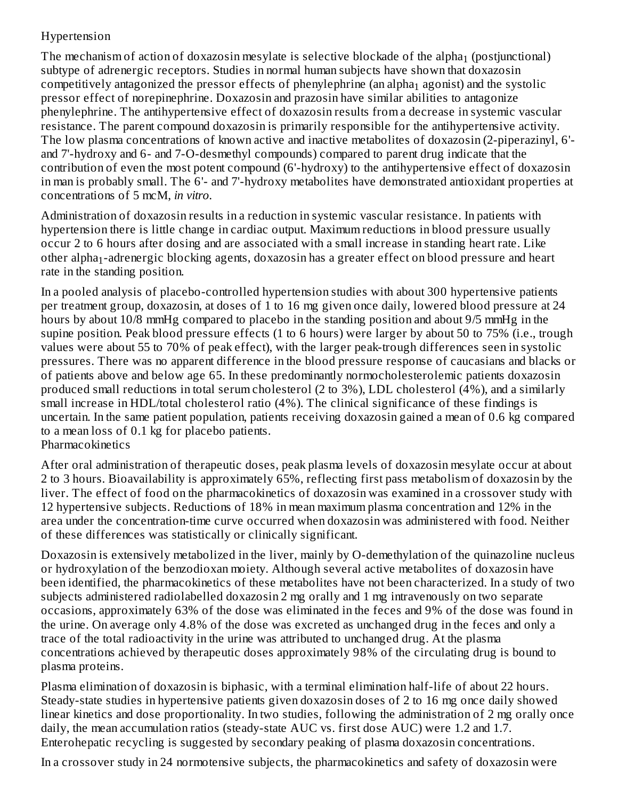### Hypertension

The mechanism of action of doxazosin mesylate is selective blockade of the alpha $_1$  (postjunctional) subtype of adrenergic receptors. Studies in normal human subjects have shown that doxazosin competitively antagonized the pressor effects of phenylephrine (an alpha $_1$  agonist) and the systolic pressor effect of norepinephrine. Doxazosin and prazosin have similar abilities to antagonize phenylephrine. The antihypertensive effect of doxazosin results from a decrease in systemic vascular resistance. The parent compound doxazosin is primarily responsible for the antihypertensive activity. The low plasma concentrations of known active and inactive metabolites of doxazosin (2-piperazinyl, 6' and 7'-hydroxy and 6- and 7-O-desmethyl compounds) compared to parent drug indicate that the contribution of even the most potent compound (6'-hydroxy) to the antihypertensive effect of doxazosin in man is probably small. The 6'- and 7'-hydroxy metabolites have demonstrated antioxidant properties at concentrations of 5 mcM, *in vitro*.

Administration of doxazosin results in a reduction in systemic vascular resistance. In patients with hypertension there is little change in cardiac output. Maximum reductions in blood pressure usually occur 2 to 6 hours after dosing and are associated with a small increase in standing heart rate. Like other alpha $_{\rm 1}$ -adrenergic blocking agents, doxazosin has a greater effect on blood pressure and heart rate in the standing position.

In a pooled analysis of placebo-controlled hypertension studies with about 300 hypertensive patients per treatment group, doxazosin, at doses of 1 to 16 mg given once daily, lowered blood pressure at 24 hours by about 10/8 mmHg compared to placebo in the standing position and about 9/5 mmHg in the supine position. Peak blood pressure effects (1 to 6 hours) were larger by about 50 to 75% (i.e., trough values were about 55 to 70% of peak effect), with the larger peak-trough differences seen in systolic pressures. There was no apparent difference in the blood pressure response of caucasians and blacks or of patients above and below age 65. In these predominantly normocholesterolemic patients doxazosin produced small reductions in total serum cholesterol (2 to 3%), LDL cholesterol (4%), and a similarly small increase in HDL/total cholesterol ratio (4%). The clinical significance of these findings is uncertain. In the same patient population, patients receiving doxazosin gained a mean of 0.6 kg compared to a mean loss of 0.1 kg for placebo patients. **Pharmacokinetics** 

After oral administration of therapeutic doses, peak plasma levels of doxazosin mesylate occur at about 2 to 3 hours. Bioavailability is approximately 65%, reflecting first pass metabolism of doxazosin by the liver. The effect of food on the pharmacokinetics of doxazosin was examined in a crossover study with 12 hypertensive subjects. Reductions of 18% in mean maximum plasma concentration and 12% in the area under the concentration-time curve occurred when doxazosin was administered with food. Neither of these differences was statistically or clinically significant.

Doxazosin is extensively metabolized in the liver, mainly by O-demethylation of the quinazoline nucleus or hydroxylation of the benzodioxan moiety. Although several active metabolites of doxazosin have been identified, the pharmacokinetics of these metabolites have not been characterized. In a study of two subjects administered radiolabelled doxazosin 2 mg orally and 1 mg intravenously on two separate occasions, approximately 63% of the dose was eliminated in the feces and 9% of the dose was found in the urine. On average only 4.8% of the dose was excreted as unchanged drug in the feces and only a trace of the total radioactivity in the urine was attributed to unchanged drug. At the plasma concentrations achieved by therapeutic doses approximately 98% of the circulating drug is bound to plasma proteins.

Plasma elimination of doxazosin is biphasic, with a terminal elimination half-life of about 22 hours. Steady-state studies in hypertensive patients given doxazosin doses of 2 to 16 mg once daily showed linear kinetics and dose proportionality. In two studies, following the administration of 2 mg orally once daily, the mean accumulation ratios (steady-state AUC vs. first dose AUC) were 1.2 and 1.7. Enterohepatic recycling is suggested by secondary peaking of plasma doxazosin concentrations.

In a crossover study in 24 normotensive subjects, the pharmacokinetics and safety of doxazosin were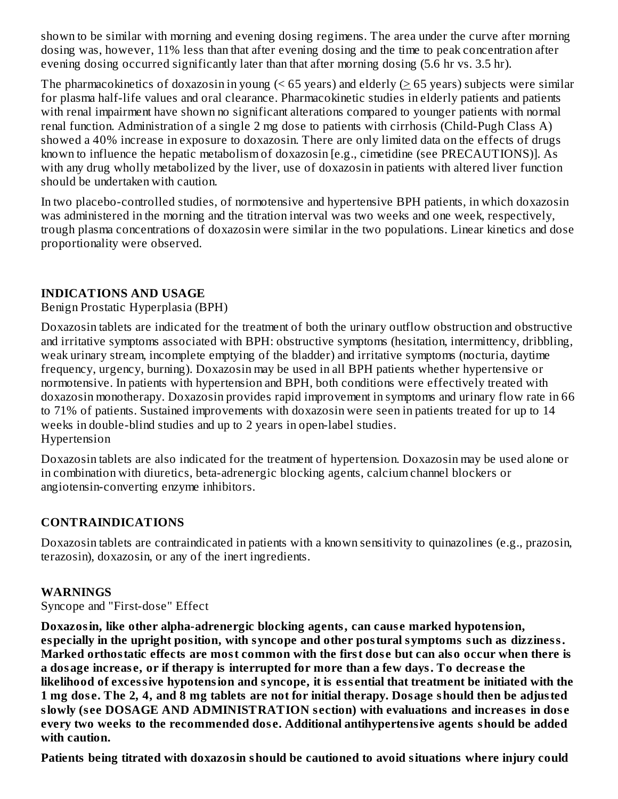shown to be similar with morning and evening dosing regimens. The area under the curve after morning dosing was, however, 11% less than that after evening dosing and the time to peak concentration after evening dosing occurred significantly later than that after morning dosing (5.6 hr vs. 3.5 hr).

The pharmacokinetics of doxazosin in young  $($  < 65 years) and elderly  $($   $\geq$  65 years) subjects were similar for plasma half-life values and oral clearance. Pharmacokinetic studies in elderly patients and patients with renal impairment have shown no significant alterations compared to younger patients with normal renal function. Administration of a single 2 mg dose to patients with cirrhosis (Child-Pugh Class A) showed a 40% increase in exposure to doxazosin. There are only limited data on the effects of drugs known to influence the hepatic metabolism of doxazosin [e.g., cimetidine (see PRECAUTIONS)]. As with any drug wholly metabolized by the liver, use of doxazosin in patients with altered liver function should be undertaken with caution.

In two placebo-controlled studies, of normotensive and hypertensive BPH patients, in which doxazosin was administered in the morning and the titration interval was two weeks and one week, respectively, trough plasma concentrations of doxazosin were similar in the two populations. Linear kinetics and dose proportionality were observed.

### **INDICATIONS AND USAGE**

Benign Prostatic Hyperplasia (BPH)

Doxazosin tablets are indicated for the treatment of both the urinary outflow obstruction and obstructive and irritative symptoms associated with BPH: obstructive symptoms (hesitation, intermittency, dribbling, weak urinary stream, incomplete emptying of the bladder) and irritative symptoms (nocturia, daytime frequency, urgency, burning). Doxazosin may be used in all BPH patients whether hypertensive or normotensive. In patients with hypertension and BPH, both conditions were effectively treated with doxazosin monotherapy. Doxazosin provides rapid improvement in symptoms and urinary flow rate in 66 to 71% of patients. Sustained improvements with doxazosin were seen in patients treated for up to 14 weeks in double-blind studies and up to 2 years in open-label studies. Hypertension

Doxazosin tablets are also indicated for the treatment of hypertension. Doxazosin may be used alone or in combination with diuretics, beta-adrenergic blocking agents, calcium channel blockers or angiotensin-converting enzyme inhibitors.

### **CONTRAINDICATIONS**

Doxazosin tablets are contraindicated in patients with a known sensitivity to quinazolines (e.g., prazosin, terazosin), doxazosin, or any of the inert ingredients.

### **WARNINGS**

Syncope and "First-dose" Effect

**Doxazosin, like other alpha-adrenergic blocking agents, can caus e marked hypotension, especially in the upright position, with syncope and other postural symptoms such as dizziness. Marked orthostatic effects are most common with the first dos e but can also occur when there is a dosage increas e, or if therapy is interrupted for more than a few days. To decreas e the likelihood of excessive hypotension and syncope, it is ess ential that treatment be initiated with the** 1 mg dose. The 2, 4, and 8 mg tablets are not for initial therapy. Dosage should then be adjusted **slowly (s ee DOSAGE AND ADMINISTRATION s ection) with evaluations and increas es in dos e every two weeks to the recommended dos e. Additional antihypertensive agents should be added with caution.**

**Patients being titrated with doxazosin should be cautioned to avoid situations where injury could**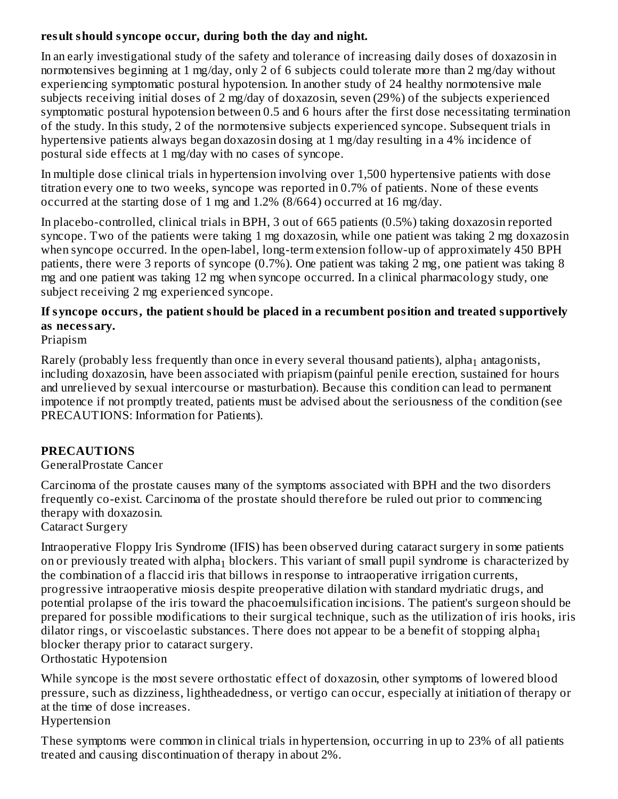### **result should syncope occur, during both the day and night.**

In an early investigational study of the safety and tolerance of increasing daily doses of doxazosin in normotensives beginning at 1 mg/day, only 2 of 6 subjects could tolerate more than 2 mg/day without experiencing symptomatic postural hypotension. In another study of 24 healthy normotensive male subjects receiving initial doses of 2 mg/day of doxazosin, seven (29%) of the subjects experienced symptomatic postural hypotension between 0.5 and 6 hours after the first dose necessitating termination of the study. In this study, 2 of the normotensive subjects experienced syncope. Subsequent trials in hypertensive patients always began doxazosin dosing at 1 mg/day resulting in a 4% incidence of postural side effects at 1 mg/day with no cases of syncope.

In multiple dose clinical trials in hypertension involving over 1,500 hypertensive patients with dose titration every one to two weeks, syncope was reported in 0.7% of patients. None of these events occurred at the starting dose of 1 mg and 1.2% (8/664) occurred at 16 mg/day.

In placebo-controlled, clinical trials in BPH, 3 out of 665 patients (0.5%) taking doxazosin reported syncope. Two of the patients were taking 1 mg doxazosin, while one patient was taking 2 mg doxazosin when syncope occurred. In the open-label, long-term extension follow-up of approximately 450 BPH patients, there were 3 reports of syncope (0.7%). One patient was taking 2 mg, one patient was taking 8 mg and one patient was taking 12 mg when syncope occurred. In a clinical pharmacology study, one subject receiving 2 mg experienced syncope.

### **If syncope occurs, the patient should be placed in a recumbent position and treated supportively as necessary.**

Priapism

Rarely (probably less frequently than once in every several thousand patients), alpha $_1$  antagonists, including doxazosin, have been associated with priapism (painful penile erection, sustained for hours and unrelieved by sexual intercourse or masturbation). Because this condition can lead to permanent impotence if not promptly treated, patients must be advised about the seriousness of the condition (see PRECAUTIONS: Information for Patients).

### **PRECAUTIONS**

### GeneralProstate Cancer

Carcinoma of the prostate causes many of the symptoms associated with BPH and the two disorders frequently co-exist. Carcinoma of the prostate should therefore be ruled out prior to commencing therapy with doxazosin.

#### Cataract Surgery

Intraoperative Floppy Iris Syndrome (IFIS) has been observed during cataract surgery in some patients on or previously treated with alpha $_1$  blockers. This variant of small pupil syndrome is characterized by the combination of a flaccid iris that billows in response to intraoperative irrigation currents, progressive intraoperative miosis despite preoperative dilation with standard mydriatic drugs, and potential prolapse of the iris toward the phacoemulsification incisions. The patient's surgeon should be prepared for possible modifications to their surgical technique, such as the utilization of iris hooks, iris dilator rings, or viscoelastic substances. There does not appear to be a benefit of stopping alpha $_{\rm 1}$ blocker therapy prior to cataract surgery. Orthostatic Hypotension

While syncope is the most severe orthostatic effect of doxazosin, other symptoms of lowered blood pressure, such as dizziness, lightheadedness, or vertigo can occur, especially at initiation of therapy or at the time of dose increases.

#### Hypertension

These symptoms were common in clinical trials in hypertension, occurring in up to 23% of all patients treated and causing discontinuation of therapy in about 2%.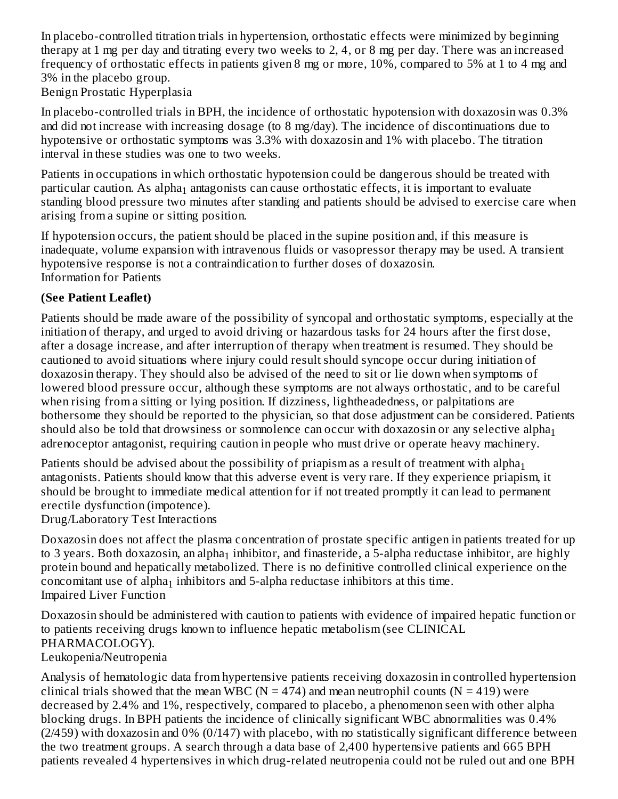In placebo-controlled titration trials in hypertension, orthostatic effects were minimized by beginning therapy at 1 mg per day and titrating every two weeks to 2, 4, or 8 mg per day. There was an increased frequency of orthostatic effects in patients given 8 mg or more, 10%, compared to 5% at 1 to 4 mg and 3% in the placebo group.

Benign Prostatic Hyperplasia

In placebo-controlled trials in BPH, the incidence of orthostatic hypotension with doxazosin was 0.3% and did not increase with increasing dosage (to 8 mg/day). The incidence of discontinuations due to hypotensive or orthostatic symptoms was 3.3% with doxazosin and 1% with placebo. The titration interval in these studies was one to two weeks.

Patients in occupations in which orthostatic hypotension could be dangerous should be treated with particular caution. As alpha $_1$  antagonists can cause orthostatic effects, it is important to evaluate standing blood pressure two minutes after standing and patients should be advised to exercise care when arising from a supine or sitting position.

If hypotension occurs, the patient should be placed in the supine position and, if this measure is inadequate, volume expansion with intravenous fluids or vasopressor therapy may be used. A transient hypotensive response is not a contraindication to further doses of doxazosin. Information for Patients

## **(See Patient Leaflet)**

Patients should be made aware of the possibility of syncopal and orthostatic symptoms, especially at the initiation of therapy, and urged to avoid driving or hazardous tasks for 24 hours after the first dose, after a dosage increase, and after interruption of therapy when treatment is resumed. They should be cautioned to avoid situations where injury could result should syncope occur during initiation of doxazosin therapy. They should also be advised of the need to sit or lie down when symptoms of lowered blood pressure occur, although these symptoms are not always orthostatic, and to be careful when rising from a sitting or lying position. If dizziness, lightheadedness, or palpitations are bothersome they should be reported to the physician, so that dose adjustment can be considered. Patients should also be told that drowsiness or somnolence can occur with doxazosin or any selective alpha $_{\rm 1}$ adrenoceptor antagonist, requiring caution in people who must drive or operate heavy machinery.

Patients should be advised about the possibility of priapism as a result of treatment with alpha $_{\rm 1}$ antagonists. Patients should know that this adverse event is very rare. If they experience priapism, it should be brought to immediate medical attention for if not treated promptly it can lead to permanent erectile dysfunction (impotence).

Drug/Laboratory Test Interactions

Doxazosin does not affect the plasma concentration of prostate specific antigen in patients treated for up to 3 years. Both doxazosin, an alpha $_1$  inhibitor, and finasteride, a 5-alpha reductase inhibitor, are highly protein bound and hepatically metabolized. There is no definitive controlled clinical experience on the concomitant use of alpha $_1$  inhibitors and 5-alpha reductase inhibitors at this time. Impaired Liver Function

Doxazosin should be administered with caution to patients with evidence of impaired hepatic function or to patients receiving drugs known to influence hepatic metabolism (see CLINICAL PHARMACOLOGY). Leukopenia/Neutropenia

Analysis of hematologic data from hypertensive patients receiving doxazosin in controlled hypertension clinical trials showed that the mean WBC ( $N = 474$ ) and mean neutrophil counts ( $N = 419$ ) were decreased by 2.4% and 1%, respectively, compared to placebo, a phenomenon seen with other alpha blocking drugs. In BPH patients the incidence of clinically significant WBC abnormalities was 0.4% (2/459) with doxazosin and 0% (0/147) with placebo, with no statistically significant difference between the two treatment groups. A search through a data base of 2,400 hypertensive patients and 665 BPH patients revealed 4 hypertensives in which drug-related neutropenia could not be ruled out and one BPH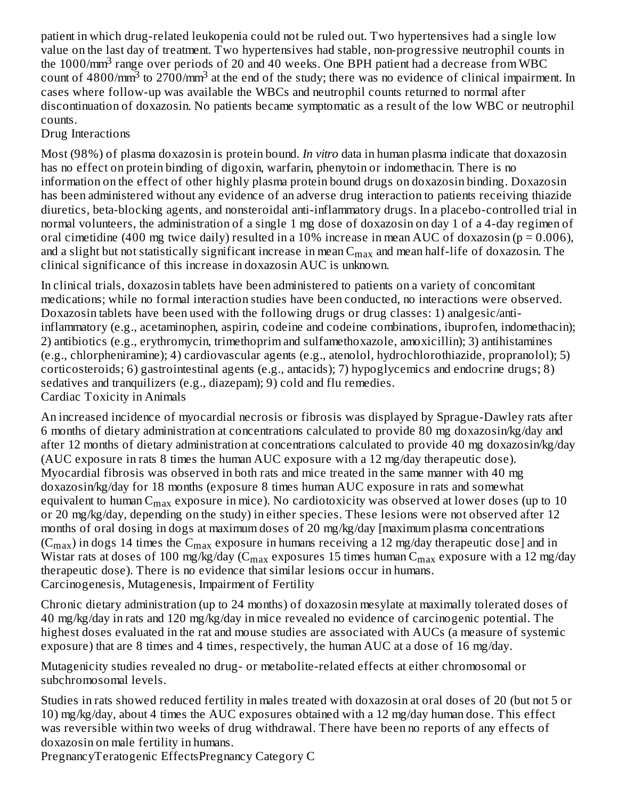patient in which drug-related leukopenia could not be ruled out. Two hypertensives had a single low value on the last day of treatment. Two hypertensives had stable, non-progressive neutrophil counts in the 1000/ $\text{mm}^3$  range over periods of 20 and 40 weeks. One BPH patient had a decrease from WBC count of 4800/mm<sup>3</sup> to 2700/mm<sup>3</sup> at the end of the study; there was no evidence of clinical impairment. In cases where follow-up was available the WBCs and neutrophil counts returned to normal after discontinuation of doxazosin. No patients became symptomatic as a result of the low WBC or neutrophil counts.

### Drug Interactions

Most (98%) of plasma doxazosin is protein bound. *In vitro* data in human plasma indicate that doxazosin has no effect on protein binding of digoxin, warfarin, phenytoin or indomethacin. There is no information on the effect of other highly plasma protein bound drugs on doxazosin binding. Doxazosin has been administered without any evidence of an adverse drug interaction to patients receiving thiazide diuretics, beta-blocking agents, and nonsteroidal anti-inflammatory drugs. In a placebo-controlled trial in normal volunteers, the administration of a single 1 mg dose of doxazosin on day 1 of a 4-day regimen of oral cimetidine (400 mg twice daily) resulted in a 10% increase in mean AUC of doxazosin ( $p = 0.006$ ), and a slight but not statistically significant increase in mean  $\rm{C_{max}}$  and mean half-life of doxazosin. The clinical significance of this increase in doxazosin AUC is unknown.

In clinical trials, doxazosin tablets have been administered to patients on a variety of concomitant medications; while no formal interaction studies have been conducted, no interactions were observed. Doxazosin tablets have been used with the following drugs or drug classes: 1) analgesic/antiinflammatory (e.g., acetaminophen, aspirin, codeine and codeine combinations, ibuprofen, indomethacin); 2) antibiotics (e.g., erythromycin, trimethoprim and sulfamethoxazole, amoxicillin); 3) antihistamines (e.g., chlorpheniramine); 4) cardiovascular agents (e.g., atenolol, hydrochlorothiazide, propranolol); 5) corticosteroids; 6) gastrointestinal agents (e.g., antacids); 7) hypoglycemics and endocrine drugs; 8) sedatives and tranquilizers (e.g., diazepam); 9) cold and flu remedies. Cardiac Toxicity in Animals

An increased incidence of myocardial necrosis or fibrosis was displayed by Sprague-Dawley rats after 6 months of dietary administration at concentrations calculated to provide 80 mg doxazosin/kg/day and after 12 months of dietary administration at concentrations calculated to provide 40 mg doxazosin/kg/day (AUC exposure in rats 8 times the human AUC exposure with a 12 mg/day therapeutic dose). Myocardial fibrosis was observed in both rats and mice treated in the same manner with 40 mg doxazosin/kg/day for 18 months (exposure 8 times human AUC exposure in rats and somewhat equivalent to human  $\rm{C_{max}}$  exposure in mice). No cardiotoxicity was observed at lower doses (up to  $10$ or 20 mg/kg/day, depending on the study) in either species. These lesions were not observed after 12 months of oral dosing in dogs at maximum doses of 20 mg/kg/day [maximum plasma concentrations (C $_{\rm max}$ ) in dogs 14 times the C $_{\rm max}$  exposure in humans receiving a 12 mg/day therapeutic dose] and in Wistar rats at doses of 100 mg/kg/day (C $_{\rm max}$  exposures 15 times human C $_{\rm max}$  exposure with a 12 mg/day therapeutic dose). There is no evidence that similar lesions occur in humans. Carcinogenesis, Mutagenesis, Impairment of Fertility

Chronic dietary administration (up to 24 months) of doxazosin mesylate at maximally tolerated doses of 40 mg/kg/day in rats and 120 mg/kg/day in mice revealed no evidence of carcinogenic potential. The highest doses evaluated in the rat and mouse studies are associated with AUCs (a measure of systemic exposure) that are 8 times and 4 times, respectively, the human AUC at a dose of 16 mg/day.

Mutagenicity studies revealed no drug- or metabolite-related effects at either chromosomal or subchromosomal levels.

Studies in rats showed reduced fertility in males treated with doxazosin at oral doses of 20 (but not 5 or 10) mg/kg/day, about 4 times the AUC exposures obtained with a 12 mg/day human dose. This effect was reversible within two weeks of drug withdrawal. There have been no reports of any effects of doxazosin on male fertility in humans.

PregnancyTeratogenic EffectsPregnancy Category C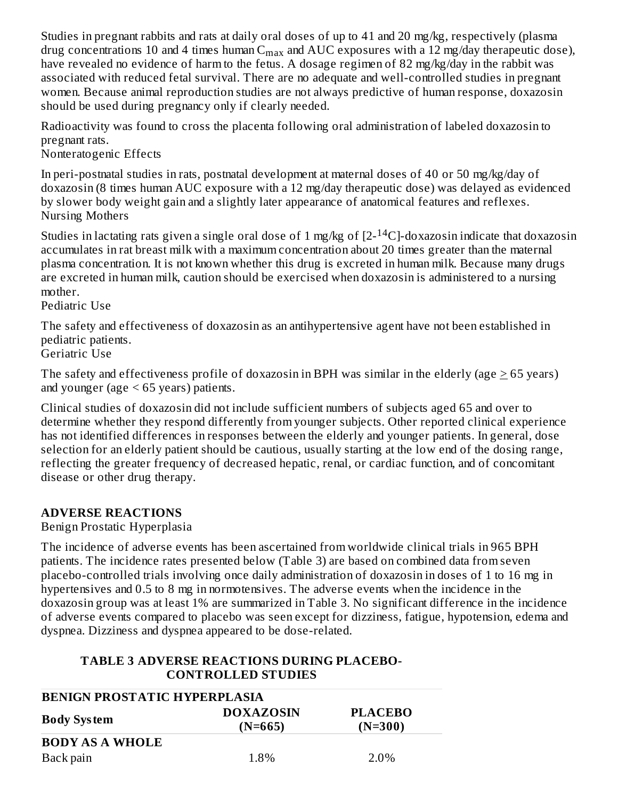Studies in pregnant rabbits and rats at daily oral doses of up to 41 and 20 mg/kg, respectively (plasma drug concentrations 10 and 4 times human  $\textsf{C}_{\max}$  and  $\textsf{AUC}$  exposures with a 12 mg/day therapeutic dose), have revealed no evidence of harm to the fetus. A dosage regimen of 82 mg/kg/day in the rabbit was associated with reduced fetal survival. There are no adequate and well-controlled studies in pregnant women. Because animal reproduction studies are not always predictive of human response, doxazosin should be used during pregnancy only if clearly needed.

Radioactivity was found to cross the placenta following oral administration of labeled doxazosin to pregnant rats.

Nonteratogenic Effects

In peri-postnatal studies in rats, postnatal development at maternal doses of 40 or 50 mg/kg/day of doxazosin (8 times human AUC exposure with a 12 mg/day therapeutic dose) was delayed as evidenced by slower body weight gain and a slightly later appearance of anatomical features and reflexes. Nursing Mothers

Studies in lactating rats given a single oral dose of 1 mg/kg of [2- $^{14}$ C]-doxazosin indicate that doxazosin accumulates in rat breast milk with a maximum concentration about 20 times greater than the maternal plasma concentration. It is not known whether this drug is excreted in human milk. Because many drugs are excreted in human milk, caution should be exercised when doxazosin is administered to a nursing mother.

Pediatric Use

The safety and effectiveness of doxazosin as an antihypertensive agent have not been established in pediatric patients.

Geriatric Use

The safety and effectiveness profile of doxazosin in BPH was similar in the elderly (age > 65 years) and younger (age  $\leq 65$  years) patients.

Clinical studies of doxazosin did not include sufficient numbers of subjects aged 65 and over to determine whether they respond differently from younger subjects. Other reported clinical experience has not identified differences in responses between the elderly and younger patients. In general, dose selection for an elderly patient should be cautious, usually starting at the low end of the dosing range, reflecting the greater frequency of decreased hepatic, renal, or cardiac function, and of concomitant disease or other drug therapy.

### **ADVERSE REACTIONS**

Benign Prostatic Hyperplasia

The incidence of adverse events has been ascertained from worldwide clinical trials in 965 BPH patients. The incidence rates presented below (Table 3) are based on combined data from seven placebo-controlled trials involving once daily administration of doxazosin in doses of 1 to 16 mg in hypertensives and 0.5 to 8 mg in normotensives. The adverse events when the incidence in the doxazosin group was at least 1% are summarized in Table 3. No significant difference in the incidence of adverse events compared to placebo was seen except for dizziness, fatigue, hypotension, edema and dyspnea. Dizziness and dyspnea appeared to be dose-related.

### **TABLE 3 ADVERSE REACTIONS DURING PLACEBO-CONTROLLED STUDIES**

| <b>BENIGN PROSTATIC HYPERPLASIA</b>                                                |      |      |  |  |  |
|------------------------------------------------------------------------------------|------|------|--|--|--|
| <b>DOXAZOSIN</b><br><b>PLACEBO</b><br><b>Body System</b><br>$(N=665)$<br>$(N=300)$ |      |      |  |  |  |
| <b>BODY AS A WHOLE</b>                                                             |      |      |  |  |  |
| Back pain                                                                          | 1.8% | 2.0% |  |  |  |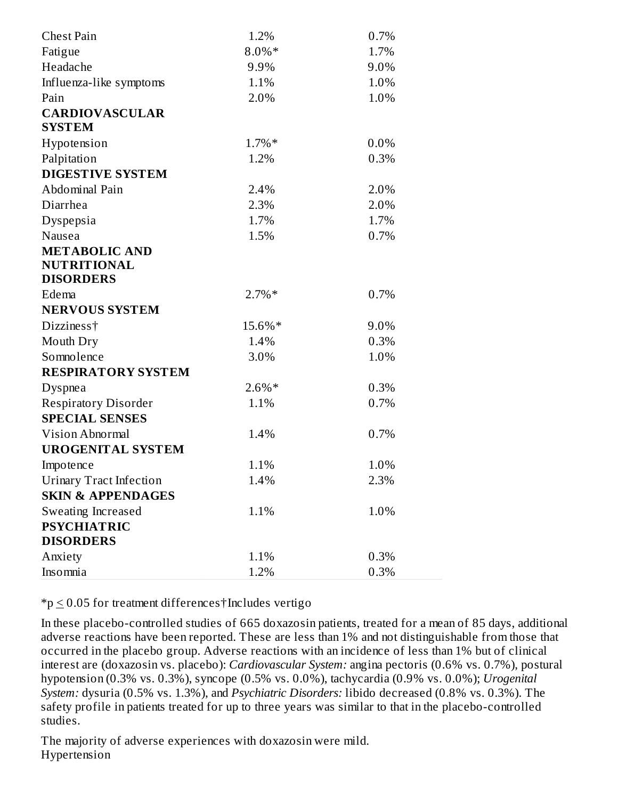| <b>Chest Pain</b>              | 1.2%     | 0.7% |
|--------------------------------|----------|------|
| Fatigue                        | 8.0%*    | 1.7% |
| Headache                       | 9.9%     | 9.0% |
| Influenza-like symptoms        | 1.1%     | 1.0% |
| Pain                           | 2.0%     | 1.0% |
| <b>CARDIOVASCULAR</b>          |          |      |
| <b>SYSTEM</b>                  |          |      |
| Hypotension                    | $1.7\%*$ | 0.0% |
| Palpitation                    | 1.2%     | 0.3% |
| <b>DIGESTIVE SYSTEM</b>        |          |      |
| Abdominal Pain                 | 2.4%     | 2.0% |
| Diarrhea                       | 2.3%     | 2.0% |
| Dyspepsia                      | 1.7%     | 1.7% |
| Nausea                         | 1.5%     | 0.7% |
| <b>METABOLIC AND</b>           |          |      |
| <b>NUTRITIONAL</b>             |          |      |
| <b>DISORDERS</b>               |          |      |
| Edema                          | $2.7\%*$ | 0.7% |
| <b>NERVOUS SYSTEM</b>          |          |      |
| Dizziness <sup>†</sup>         | 15.6%*   | 9.0% |
| Mouth Dry                      | 1.4%     | 0.3% |
| Somnolence                     | 3.0%     | 1.0% |
| <b>RESPIRATORY SYSTEM</b>      |          |      |
| Dyspnea                        | $2.6\%*$ | 0.3% |
| <b>Respiratory Disorder</b>    | 1.1%     | 0.7% |
| <b>SPECIAL SENSES</b>          |          |      |
| <b>Vision Abnormal</b>         | 1.4%     | 0.7% |
| <b>UROGENITAL SYSTEM</b>       |          |      |
| Impotence                      | 1.1%     | 1.0% |
| <b>Urinary Tract Infection</b> | 1.4%     | 2.3% |
| <b>SKIN &amp; APPENDAGES</b>   |          |      |
| Sweating Increased             | 1.1%     | 1.0% |
| <b>PSYCHIATRIC</b>             |          |      |
| <b>DISORDERS</b>               |          |      |
| Anxiety                        | 1.1%     | 0.3% |
| Insomnia                       | 1.2%     | 0.3% |

 $*_p \leq 0.05$  for treatment differences†Includes vertigo

In these placebo-controlled studies of 665 doxazosin patients, treated for a mean of 85 days, additional adverse reactions have been reported. These are less than 1% and not distinguishable from those that occurred in the placebo group. Adverse reactions with an incidence of less than 1% but of clinical interest are (doxazosin vs. placebo): *Cardiovascular System:* angina pectoris (0.6% vs. 0.7%), postural hypotension (0.3% vs. 0.3%), syncope (0.5% vs. 0.0%), tachycardia (0.9% vs. 0.0%); *Urogenital System:* dysuria (0.5% vs. 1.3%), and *Psychiatric Disorders:* libido decreased (0.8% vs. 0.3%). The safety profile in patients treated for up to three years was similar to that in the placebo-controlled studies.

The majority of adverse experiences with doxazosin were mild. Hypertension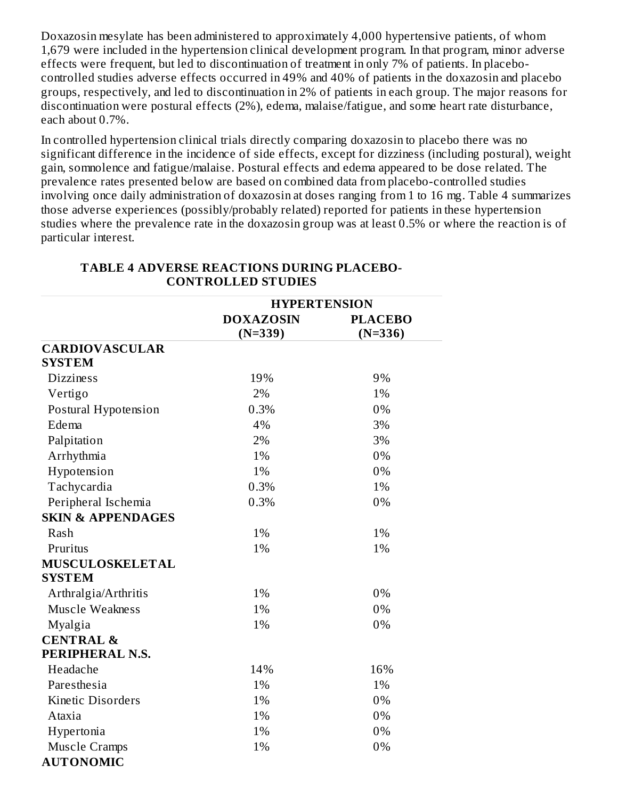Doxazosin mesylate has been administered to approximately 4,000 hypertensive patients, of whom 1,679 were included in the hypertension clinical development program. In that program, minor adverse effects were frequent, but led to discontinuation of treatment in only 7% of patients. In placebocontrolled studies adverse effects occurred in 49% and 40% of patients in the doxazosin and placebo groups, respectively, and led to discontinuation in 2% of patients in each group. The major reasons for discontinuation were postural effects (2%), edema, malaise/fatigue, and some heart rate disturbance, each about 0.7%.

In controlled hypertension clinical trials directly comparing doxazosin to placebo there was no significant difference in the incidence of side effects, except for dizziness (including postural), weight gain, somnolence and fatigue/malaise. Postural effects and edema appeared to be dose related. The prevalence rates presented below are based on combined data from placebo-controlled studies involving once daily administration of doxazosin at doses ranging from 1 to 16 mg. Table 4 summarizes those adverse experiences (possibly/probably related) reported for patients in these hypertension studies where the prevalence rate in the doxazosin group was at least 0.5% or where the reaction is of particular interest.

|                              | <b>HYPERTENSION</b> |                |  |
|------------------------------|---------------------|----------------|--|
|                              | <b>DOXAZOSIN</b>    | <b>PLACEBO</b> |  |
|                              | $(N=339)$           | $(N=336)$      |  |
| <b>CARDIOVASCULAR</b>        |                     |                |  |
| <b>SYSTEM</b>                |                     |                |  |
| <b>Dizziness</b>             | 19%                 | 9%             |  |
| Vertigo                      | 2%                  | 1%             |  |
| Postural Hypotension         | 0.3%                | 0%             |  |
| Edema                        | 4%                  | 3%             |  |
| Palpitation                  | 2%                  | 3%             |  |
| Arrhythmia                   | 1%                  | 0%             |  |
| Hypotension                  | 1%                  | 0%             |  |
| Tachycardia                  | 0.3%                | 1%             |  |
| Peripheral Ischemia          | 0.3%                | 0%             |  |
| <b>SKIN &amp; APPENDAGES</b> |                     |                |  |
| Rash                         | 1%                  | 1%             |  |
| Pruritus                     | 1%                  | 1%             |  |
| MUSCULOSKELETAL              |                     |                |  |
| <b>SYSTEM</b>                |                     |                |  |
| Arthralgia/Arthritis         | 1%                  | 0%             |  |
| <b>Muscle Weakness</b>       | 1%                  | 0%             |  |
| Myalgia                      | 1%                  | 0%             |  |
| <b>CENTRAL &amp;</b>         |                     |                |  |
| PERIPHERAL N.S.              |                     |                |  |
| Headache                     | 14%                 | 16%            |  |
| Paresthesia                  | 1%                  | 1%             |  |
| Kinetic Disorders            | 1%                  | 0%             |  |
| Ataxia                       | 1%                  | 0%             |  |
| Hypertonia                   | 1%                  | 0%             |  |
| <b>Muscle Cramps</b>         | 1%                  | 0%             |  |
| <b>AUTONOMIC</b>             |                     |                |  |

#### **TABLE 4 ADVERSE REACTIONS DURING PLACEBO-CONTROLLED STUDIES**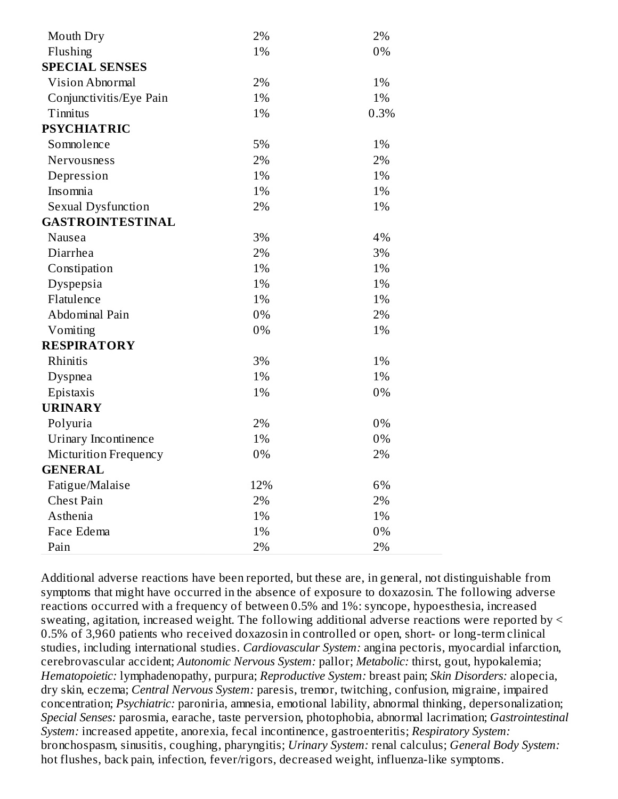| Mouth Dry                 | 2%  | 2%   |
|---------------------------|-----|------|
| Flushing                  | 1%  | 0%   |
| <b>SPECIAL SENSES</b>     |     |      |
| Vision Abnormal           | 2%  | 1%   |
| Conjunctivitis/Eye Pain   | 1%  | 1%   |
| Tinnitus                  | 1%  | 0.3% |
| <b>PSYCHIATRIC</b>        |     |      |
| Somnolence                | 5%  | 1%   |
| <b>Nervousness</b>        | 2%  | 2%   |
| Depression                | 1%  | 1%   |
| Insomnia                  | 1%  | 1%   |
| <b>Sexual Dysfunction</b> | 2%  | 1%   |
| <b>GASTROINTESTINAL</b>   |     |      |
| Nausea                    | 3%  | 4%   |
| Diarrhea                  | 2%  | 3%   |
| Constipation              | 1%  | 1%   |
| Dyspepsia                 | 1%  | 1%   |
| Flatulence                | 1%  | 1%   |
| Abdominal Pain            | 0%  | 2%   |
| Vomiting                  | 0%  | 1%   |
| <b>RESPIRATORY</b>        |     |      |
| Rhinitis                  | 3%  | 1%   |
| Dyspnea                   | 1%  | 1%   |
| Epistaxis                 | 1%  | 0%   |
| <b>URINARY</b>            |     |      |
| Polyuria                  | 2%  | 0%   |
| Urinary Incontinence      | 1%  | 0%   |
| Micturition Frequency     | 0%  | 2%   |
| <b>GENERAL</b>            |     |      |
| Fatigue/Malaise           | 12% | 6%   |
| <b>Chest Pain</b>         | 2%  | 2%   |
| Asthenia                  | 1%  | 1%   |
| Face Edema                | 1%  | 0%   |
| Pain                      | 2%  | 2%   |

Additional adverse reactions have been reported, but these are, in general, not distinguishable from symptoms that might have occurred in the absence of exposure to doxazosin. The following adverse reactions occurred with a frequency of between 0.5% and 1%: syncope, hypoesthesia, increased sweating, agitation, increased weight. The following additional adverse reactions were reported by < 0.5% of 3,960 patients who received doxazosin in controlled or open, short- or long-term clinical studies, including international studies. *Cardiovascular System:* angina pectoris, myocardial infarction, cerebrovascular accident; *Autonomic Nervous System:* pallor; *Metabolic:* thirst, gout, hypokalemia; *Hematopoietic:* lymphadenopathy, purpura; *Reproductive System:* breast pain; *Skin Disorders:* alopecia, dry skin, eczema; *Central Nervous System:* paresis, tremor, twitching, confusion, migraine, impaired concentration; *Psychiatric:* paroniria, amnesia, emotional lability, abnormal thinking, depersonalization; *Special Senses:* parosmia, earache, taste perversion, photophobia, abnormal lacrimation; *Gastrointestinal System:* increased appetite, anorexia, fecal incontinence, gastroenteritis; *Respiratory System:* bronchospasm, sinusitis, coughing, pharyngitis; *Urinary System:* renal calculus; *General Body System:* hot flushes, back pain, infection, fever/rigors, decreased weight, influenza-like symptoms.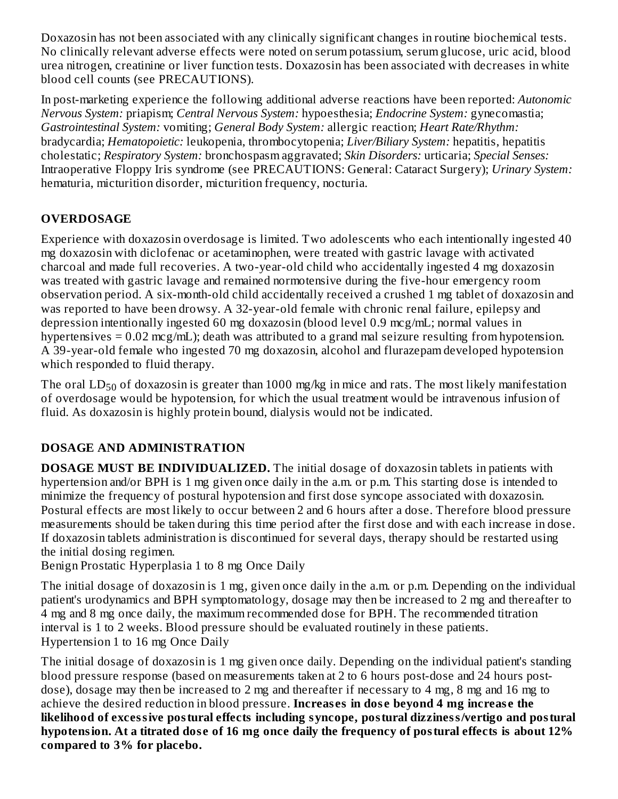Doxazosin has not been associated with any clinically significant changes in routine biochemical tests. No clinically relevant adverse effects were noted on serum potassium, serum glucose, uric acid, blood urea nitrogen, creatinine or liver function tests. Doxazosin has been associated with decreases in white blood cell counts (see PRECAUTIONS).

In post-marketing experience the following additional adverse reactions have been reported: *Autonomic Nervous System:* priapism; *Central Nervous System:* hypoesthesia; *Endocrine System:* gynecomastia; *Gastrointestinal System:* vomiting; *General Body System:* allergic reaction; *Heart Rate/Rhythm:* bradycardia; *Hematopoietic:* leukopenia, thrombocytopenia; *Liver/Biliary System:* hepatitis, hepatitis cholestatic; *Respiratory System:* bronchospasm aggravated; *Skin Disorders:* urticaria; *Special Senses:* Intraoperative Floppy Iris syndrome (see PRECAUTIONS: General: Cataract Surgery); *Urinary System:* hematuria, micturition disorder, micturition frequency, nocturia.

# **OVERDOSAGE**

Experience with doxazosin overdosage is limited. Two adolescents who each intentionally ingested 40 mg doxazosin with diclofenac or acetaminophen, were treated with gastric lavage with activated charcoal and made full recoveries. A two-year-old child who accidentally ingested 4 mg doxazosin was treated with gastric lavage and remained normotensive during the five-hour emergency room observation period. A six-month-old child accidentally received a crushed 1 mg tablet of doxazosin and was reported to have been drowsy. A 32-year-old female with chronic renal failure, epilepsy and depression intentionally ingested 60 mg doxazosin (blood level 0.9 mcg/mL; normal values in hypertensives =  $0.02$  mcg/mL); death was attributed to a grand mal seizure resulting from hypotension. A 39-year-old female who ingested 70 mg doxazosin, alcohol and flurazepam developed hypotension which responded to fluid therapy.

The oral  $\mathrm{LD}_{50}$  of doxazosin is greater than 1000 mg/kg in mice and rats. The most likely manifestation of overdosage would be hypotension, for which the usual treatment would be intravenous infusion of fluid. As doxazosin is highly protein bound, dialysis would not be indicated.

# **DOSAGE AND ADMINISTRATION**

**DOSAGE MUST BE INDIVIDUALIZED.** The initial dosage of doxazosin tablets in patients with hypertension and/or BPH is 1 mg given once daily in the a.m. or p.m. This starting dose is intended to minimize the frequency of postural hypotension and first dose syncope associated with doxazosin. Postural effects are most likely to occur between 2 and 6 hours after a dose. Therefore blood pressure measurements should be taken during this time period after the first dose and with each increase in dose. If doxazosin tablets administration is discontinued for several days, therapy should be restarted using the initial dosing regimen.

Benign Prostatic Hyperplasia 1 to 8 mg Once Daily

The initial dosage of doxazosin is 1 mg, given once daily in the a.m. or p.m. Depending on the individual patient's urodynamics and BPH symptomatology, dosage may then be increased to 2 mg and thereafter to 4 mg and 8 mg once daily, the maximum recommended dose for BPH. The recommended titration interval is 1 to 2 weeks. Blood pressure should be evaluated routinely in these patients. Hypertension 1 to 16 mg Once Daily

The initial dosage of doxazosin is 1 mg given once daily. Depending on the individual patient's standing blood pressure response (based on measurements taken at 2 to 6 hours post-dose and 24 hours postdose), dosage may then be increased to 2 mg and thereafter if necessary to 4 mg, 8 mg and 16 mg to achieve the desired reduction in blood pressure. **Increas es in dos e beyond 4 mg increas e the likelihood of excessive postural effects including syncope, postural dizziness/vertigo and postural** hypotension. At a titrated dose of 16 mg once daily the frequency of postural effects is about 12% **compared to 3% for placebo.**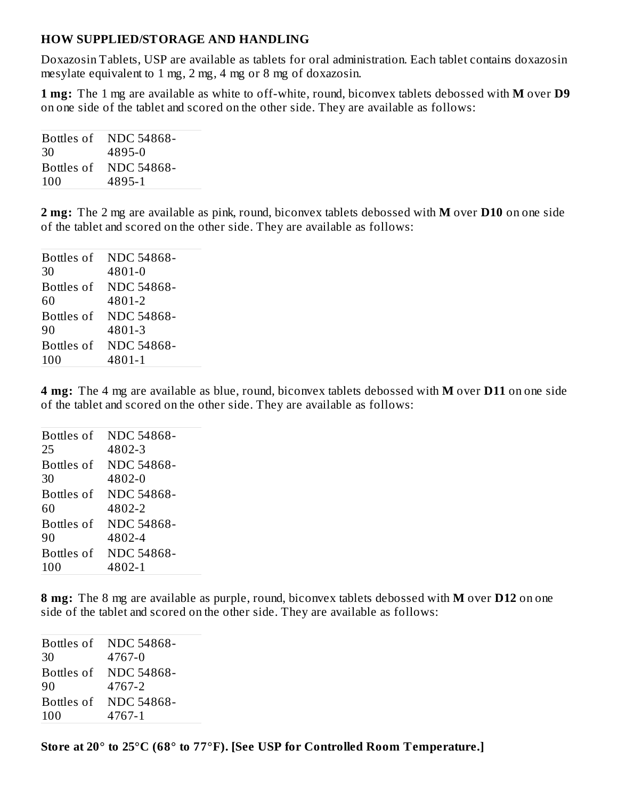#### **HOW SUPPLIED/STORAGE AND HANDLING**

Doxazosin Tablets, USP are available as tablets for oral administration. Each tablet contains doxazosin mesylate equivalent to 1 mg, 2 mg, 4 mg or 8 mg of doxazosin.

**1 mg:** The 1 mg are available as white to off-white, round, biconvex tablets debossed with **M** over **D9** on one side of the tablet and scored on the other side. They are available as follows:

| 30  | Bottles of NDC 54868-<br>4895-0 |
|-----|---------------------------------|
|     | Bottles of NDC 54868-           |
| 100 | 4895-1                          |

**2 mg:** The 2 mg are available as pink, round, biconvex tablets debossed with **M** over **D10** on one side of the tablet and scored on the other side. They are available as follows:

| Bottles of | <b>NDC 54868-</b> |
|------------|-------------------|
| 30         | 4801-0            |
| Bottles of | <b>NDC 54868-</b> |
| 60         | 4801-2            |
| Bottles of | NDC 54868-        |
| 90         | 4801-3            |
| Bottles of | NDC 54868-        |
| 100        | 4801-1            |
|            |                   |

**4 mg:** The 4 mg are available as blue, round, biconvex tablets debossed with **M** over **D11** on one side of the tablet and scored on the other side. They are available as follows:

| <b>Bottles of</b> | NDC 54868-        |
|-------------------|-------------------|
| 25                | 4802-3            |
| Bottles of        | NDC 54868-        |
| 30                | 4802-0            |
| Bottles of        | <b>NDC 54868-</b> |
| 60                | 4802-2            |
| <b>Bottles of</b> | NDC 54868-        |
| 90                | 4802-4            |
| Bottles of        | <b>NDC 54868-</b> |
| 100               | 4802-1            |

**8 mg:** The 8 mg are available as purple, round, biconvex tablets debossed with **M** over **D12** on one side of the tablet and scored on the other side. They are available as follows:

|            | Bottles of NDC 54868- |
|------------|-----------------------|
| 30         | 4767-0                |
| Bottles of | NDC 54868-            |
| 90         | 4767-2                |
| Bottles of | NDC 54868-            |
| 100        | 4767-1                |
|            |                       |

**Store at 20° to 25°C (68° to 77°F). [See USP for Controlled Room Temperature.]**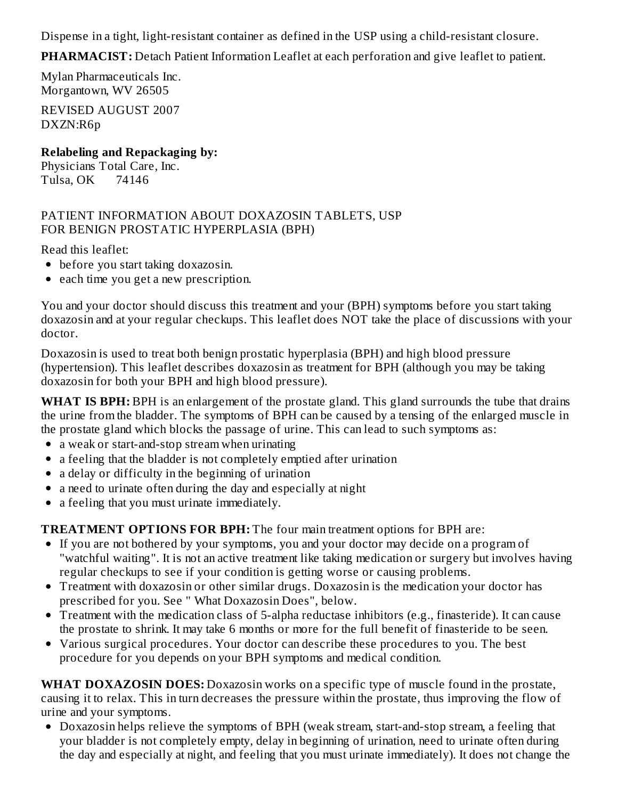Dispense in a tight, light-resistant container as defined in the USP using a child-resistant closure.

**PHARMACIST:** Detach Patient Information Leaflet at each perforation and give leaflet to patient.

Mylan Pharmaceuticals Inc. Morgantown, WV 26505

REVISED AUGUST 2007 DXZN:R6p

**Relabeling and Repackaging by:** Physicians Total Care, Inc. Tulsa, OK 74146

#### PATIENT INFORMATION ABOUT DOXAZOSIN TABLETS, USP FOR BENIGN PROSTATIC HYPERPLASIA (BPH)

Read this leaflet:

- before you start taking doxazosin.
- each time you get a new prescription.

You and your doctor should discuss this treatment and your (BPH) symptoms before you start taking doxazosin and at your regular checkups. This leaflet does NOT take the place of discussions with your doctor.

Doxazosin is used to treat both benign prostatic hyperplasia (BPH) and high blood pressure (hypertension). This leaflet describes doxazosin as treatment for BPH (although you may be taking doxazosin for both your BPH and high blood pressure).

**WHAT IS BPH:** BPH is an enlargement of the prostate gland. This gland surrounds the tube that drains the urine from the bladder. The symptoms of BPH can be caused by a tensing of the enlarged muscle in the prostate gland which blocks the passage of urine. This can lead to such symptoms as:

- a weak or start-and-stop stream when urinating
- a feeling that the bladder is not completely emptied after urination
- a delay or difficulty in the beginning of urination
- a need to urinate often during the day and especially at night
- a feeling that you must urinate immediately.

**TREATMENT OPTIONS FOR BPH:** The four main treatment options for BPH are:

- If you are not bothered by your symptoms, you and your doctor may decide on a program of "watchful waiting". It is not an active treatment like taking medication or surgery but involves having regular checkups to see if your condition is getting worse or causing problems.
- Treatment with doxazosin or other similar drugs. Doxazosin is the medication your doctor has prescribed for you. See " What Doxazosin Does", below.
- Treatment with the medication class of 5-alpha reductase inhibitors (e.g., finasteride). It can cause the prostate to shrink. It may take 6 months or more for the full benefit of finasteride to be seen.
- Various surgical procedures. Your doctor can describe these procedures to you. The best procedure for you depends on your BPH symptoms and medical condition.

**WHAT DOXAZOSIN DOES:** Doxazosin works on a specific type of muscle found in the prostate, causing it to relax. This in turn decreases the pressure within the prostate, thus improving the flow of urine and your symptoms.

Doxazosin helps relieve the symptoms of BPH (weak stream, start-and-stop stream, a feeling that your bladder is not completely empty, delay in beginning of urination, need to urinate often during the day and especially at night, and feeling that you must urinate immediately). It does not change the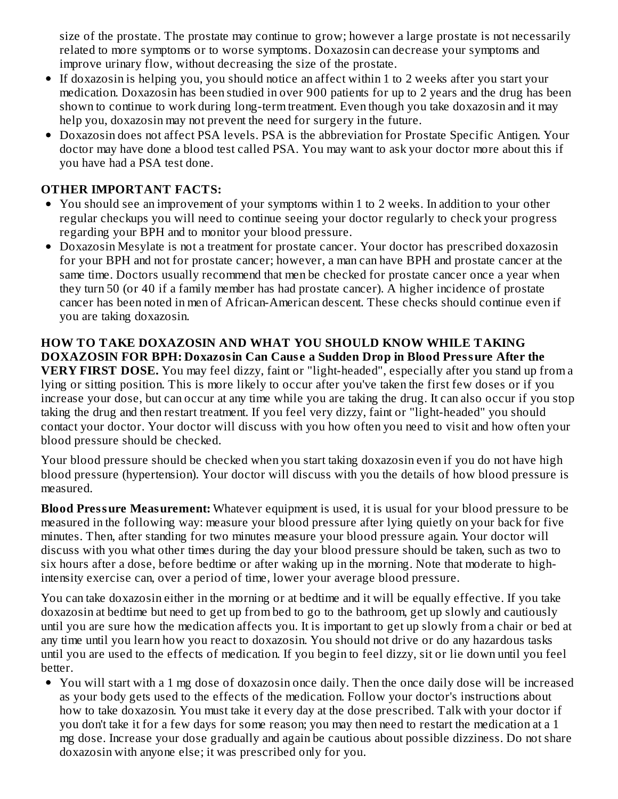size of the prostate. The prostate may continue to grow; however a large prostate is not necessarily related to more symptoms or to worse symptoms. Doxazosin can decrease your symptoms and improve urinary flow, without decreasing the size of the prostate.

- If doxazosin is helping you, you should notice an affect within 1 to 2 weeks after you start your medication. Doxazosin has been studied in over 900 patients for up to 2 years and the drug has been shown to continue to work during long-term treatment. Even though you take doxazosin and it may help you, doxazosin may not prevent the need for surgery in the future.
- Doxazosin does not affect PSA levels. PSA is the abbreviation for Prostate Specific Antigen. Your doctor may have done a blood test called PSA. You may want to ask your doctor more about this if you have had a PSA test done.

### **OTHER IMPORTANT FACTS:**

- You should see an improvement of your symptoms within 1 to 2 weeks. In addition to your other regular checkups you will need to continue seeing your doctor regularly to check your progress regarding your BPH and to monitor your blood pressure.
- Doxazosin Mesylate is not a treatment for prostate cancer. Your doctor has prescribed doxazosin for your BPH and not for prostate cancer; however, a man can have BPH and prostate cancer at the same time. Doctors usually recommend that men be checked for prostate cancer once a year when they turn 50 (or 40 if a family member has had prostate cancer). A higher incidence of prostate cancer has been noted in men of African-American descent. These checks should continue even if you are taking doxazosin.

#### **HOW TO TAKE DOXAZOSIN AND WHAT YOU SHOULD KNOW WHILE TAKING DOXAZOSIN FOR BPH: Doxazosin Can Caus e a Sudden Drop in Blood Pressure After the VERY FIRST DOSE.** You may feel dizzy, faint or "light-headed", especially after you stand up from a lying or sitting position. This is more likely to occur after you've taken the first few doses or if you increase your dose, but can occur at any time while you are taking the drug. It can also occur if you stop taking the drug and then restart treatment. If you feel very dizzy, faint or "light-headed" you should contact your doctor. Your doctor will discuss with you how often you need to visit and how often your blood pressure should be checked.

Your blood pressure should be checked when you start taking doxazosin even if you do not have high blood pressure (hypertension). Your doctor will discuss with you the details of how blood pressure is measured.

**Blood Pressure Measurement:** Whatever equipment is used, it is usual for your blood pressure to be measured in the following way: measure your blood pressure after lying quietly on your back for five minutes. Then, after standing for two minutes measure your blood pressure again. Your doctor will discuss with you what other times during the day your blood pressure should be taken, such as two to six hours after a dose, before bedtime or after waking up in the morning. Note that moderate to highintensity exercise can, over a period of time, lower your average blood pressure.

You can take doxazosin either in the morning or at bedtime and it will be equally effective. If you take doxazosin at bedtime but need to get up from bed to go to the bathroom, get up slowly and cautiously until you are sure how the medication affects you. It is important to get up slowly from a chair or bed at any time until you learn how you react to doxazosin. You should not drive or do any hazardous tasks until you are used to the effects of medication. If you begin to feel dizzy, sit or lie down until you feel better.

You will start with a 1 mg dose of doxazosin once daily. Then the once daily dose will be increased as your body gets used to the effects of the medication. Follow your doctor's instructions about how to take doxazosin. You must take it every day at the dose prescribed. Talk with your doctor if you don't take it for a few days for some reason; you may then need to restart the medication at a 1 mg dose. Increase your dose gradually and again be cautious about possible dizziness. Do not share doxazosin with anyone else; it was prescribed only for you.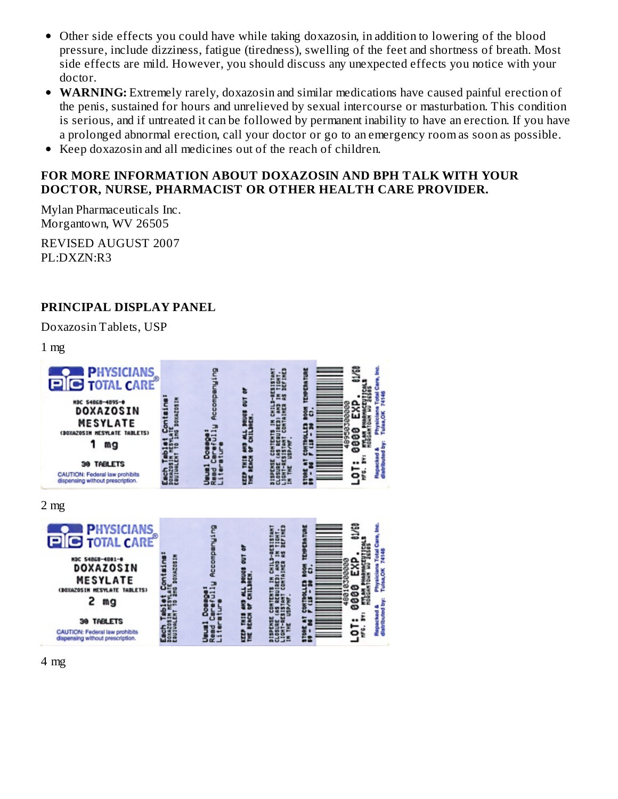- Other side effects you could have while taking doxazosin, in addition to lowering of the blood pressure, include dizziness, fatigue (tiredness), swelling of the feet and shortness of breath. Most side effects are mild. However, you should discuss any unexpected effects you notice with your doctor.
- **WARNING:** Extremely rarely, doxazosin and similar medications have caused painful erection of the penis, sustained for hours and unrelieved by sexual intercourse or masturbation. This condition is serious, and if untreated it can be followed by permanent inability to have an erection. If you have a prolonged abnormal erection, call your doctor or go to an emergency room as soon as possible.
- Keep doxazosin and all medicines out of the reach of children.  $\bullet$

#### **FOR MORE INFORMATION ABOUT DOXAZOSIN AND BPH TALK WITH YOUR DOCTOR, NURSE, PHARMACIST OR OTHER HEALTH CARE PROVIDER.**

Mylan Pharmaceuticals Inc. Morgantown, WV 26505

REVISED AUGUST 2007 PL:DXZN:R3

#### **PRINCIPAL DISPLAY PANEL**

Doxazosin Tablets, USP

 $1 \text{ mg}$ 



4 mg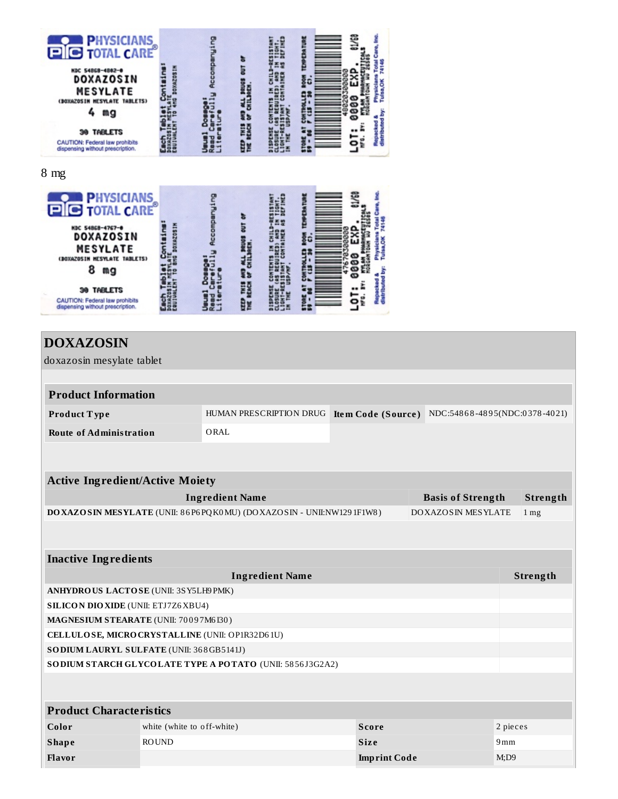



# **DOXAZOSIN**

doxazosin mesylate tablet

| <b>Product Information</b>     |      |                                                                          |
|--------------------------------|------|--------------------------------------------------------------------------|
| Product Type                   |      | HUMAN PRESCRIPTION DRUG Item Code (Source) NDC:54868-4895(NDC:0378-4021) |
| <b>Route of Administration</b> | ORAL |                                                                          |

| <b>Active Ingredient/Active Moiety</b>                                       |                          |                   |  |  |  |
|------------------------------------------------------------------------------|--------------------------|-------------------|--|--|--|
| Ingredient Name                                                              | <b>Basis of Strength</b> | Strength          |  |  |  |
| DO XAZO SIN MESYLATE (UNII: 86 P6 PQ K0 MU) (DO XAZO SIN - UNII:NW129 1F1W8) | DOXAZOSIN MESYLATE       | $1 \,\mathrm{mg}$ |  |  |  |

| <b>Inactive Ingredients</b>                               |                                                 |                     |            |  |  |
|-----------------------------------------------------------|-------------------------------------------------|---------------------|------------|--|--|
|                                                           | <b>Ingredient Name</b>                          |                     |            |  |  |
|                                                           | ANHYDROUS LACTOSE (UNII: 3SY5LH9PMK)            |                     |            |  |  |
| <b>SILICON DIO XIDE (UNII: ETJ7Z6XBU4)</b>                |                                                 |                     |            |  |  |
| <b>MAGNESIUM STEARATE (UNII: 70097M6I30)</b>              |                                                 |                     |            |  |  |
|                                                           | CELLULOSE, MICRO CRYSTALLINE (UNII: OP1R32D61U) |                     |            |  |  |
| <b>SODIUM LAURYL SULFATE (UNII: 368GB5141J)</b>           |                                                 |                     |            |  |  |
| SO DIUM STARCH GLYCOLATE TYPE A POTATO (UNII: 5856J3G2A2) |                                                 |                     |            |  |  |
|                                                           |                                                 |                     |            |  |  |
|                                                           |                                                 |                     |            |  |  |
| <b>Product Characteristics</b>                            |                                                 |                     |            |  |  |
| Color                                                     | white (white to off-white)                      | <b>Score</b>        | 2 pieces   |  |  |
| <b>Shape</b>                                              | <b>ROUND</b>                                    | <b>Size</b>         | 9mm        |  |  |
| <b>Flavor</b>                                             |                                                 | <b>Imprint Code</b> | $M:$ D $9$ |  |  |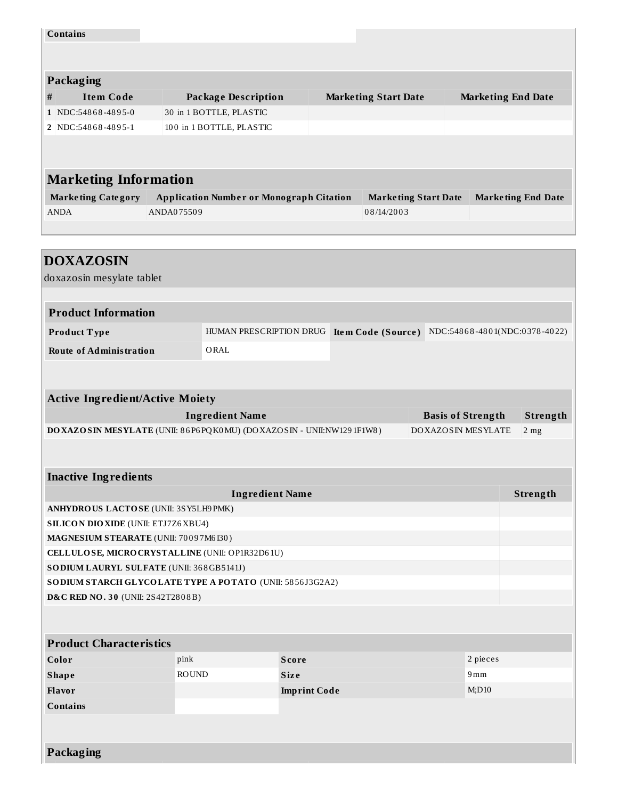| <b>Contains</b>                                                                                                        |              |                                                     |                     |                                                  |                          |                           |          |
|------------------------------------------------------------------------------------------------------------------------|--------------|-----------------------------------------------------|---------------------|--------------------------------------------------|--------------------------|---------------------------|----------|
|                                                                                                                        |              |                                                     |                     |                                                  |                          |                           |          |
|                                                                                                                        |              |                                                     |                     |                                                  |                          |                           |          |
| Packaging                                                                                                              |              |                                                     |                     |                                                  |                          |                           |          |
| <b>Item Code</b><br>#<br>1 NDC:54868-4895-0                                                                            |              | <b>Package Description</b>                          |                     | <b>Marketing Start Date</b>                      |                          | <b>Marketing End Date</b> |          |
| 2 NDC:54868-4895-1                                                                                                     |              | 30 in 1 BOTTLE, PLASTIC<br>100 in 1 BOTTLE, PLASTIC |                     |                                                  |                          |                           |          |
|                                                                                                                        |              |                                                     |                     |                                                  |                          |                           |          |
|                                                                                                                        |              |                                                     |                     |                                                  |                          |                           |          |
| <b>Marketing Information</b>                                                                                           |              |                                                     |                     |                                                  |                          |                           |          |
|                                                                                                                        |              |                                                     |                     |                                                  |                          |                           |          |
| <b>Marketing Category</b><br><b>ANDA</b>                                                                               | ANDA075509   | <b>Application Number or Monograph Citation</b>     |                     | <b>Marketing Start Date</b><br>08/14/2003        |                          | <b>Marketing End Date</b> |          |
|                                                                                                                        |              |                                                     |                     |                                                  |                          |                           |          |
|                                                                                                                        |              |                                                     |                     |                                                  |                          |                           |          |
| <b>DOXAZOSIN</b>                                                                                                       |              |                                                     |                     |                                                  |                          |                           |          |
| doxazosin mesylate tablet                                                                                              |              |                                                     |                     |                                                  |                          |                           |          |
|                                                                                                                        |              |                                                     |                     |                                                  |                          |                           |          |
| <b>Product Information</b>                                                                                             |              |                                                     |                     |                                                  |                          |                           |          |
| Product Type                                                                                                           |              | HUMAN PRESCRIPTION DRUG                             |                     | Item Code (Source) NDC:54868-4801(NDC:0378-4022) |                          |                           |          |
| <b>Route of Administration</b>                                                                                         |              | ORAL                                                |                     |                                                  |                          |                           |          |
|                                                                                                                        |              |                                                     |                     |                                                  |                          |                           |          |
|                                                                                                                        |              |                                                     |                     |                                                  |                          |                           |          |
| <b>Active Ingredient/Active Moiety</b>                                                                                 |              |                                                     |                     |                                                  |                          |                           |          |
|                                                                                                                        |              | <b>Ingredient Name</b>                              |                     |                                                  | <b>Basis of Strength</b> |                           | Strength |
| DO XAZO SIN MESYLATE (UNII: 86P6PQK0MU) (DO XAZOSIN - UNII:NW1291F1W8)<br><b>DOXAZOSIN MESYLATE</b><br>2 <sub>mg</sub> |              |                                                     |                     |                                                  |                          |                           |          |
|                                                                                                                        |              |                                                     |                     |                                                  |                          |                           |          |
|                                                                                                                        |              |                                                     |                     |                                                  |                          |                           |          |
| <b>Inactive Ingredients</b>                                                                                            |              |                                                     |                     |                                                  |                          |                           |          |
|                                                                                                                        |              | <b>Ingredient Name</b>                              |                     |                                                  |                          |                           | Strength |
| ANHYDROUS LACTOSE (UNII: 3SY5LH9 PMK)<br><b>SILICON DIO XIDE (UNII: ETJ7Z6 XBU4)</b>                                   |              |                                                     |                     |                                                  |                          |                           |          |
| MAGNESIUM STEARATE (UNII: 70097M6I30)                                                                                  |              |                                                     |                     |                                                  |                          |                           |          |
| CELLULOSE, MICRO CRYSTALLINE (UNII: OP1R32D61U)                                                                        |              |                                                     |                     |                                                  |                          |                           |          |
| SODIUM LAURYL SULFATE (UNII: 368GB5141J)                                                                               |              |                                                     |                     |                                                  |                          |                           |          |
| SO DIUM STARCH GLYCOLATE TYPE A POTATO (UNII: 5856J3G2A2)                                                              |              |                                                     |                     |                                                  |                          |                           |          |
| D&C RED NO. 30 (UNII: 2S42T2808B)                                                                                      |              |                                                     |                     |                                                  |                          |                           |          |
|                                                                                                                        |              |                                                     |                     |                                                  |                          |                           |          |
|                                                                                                                        |              |                                                     |                     |                                                  |                          |                           |          |
| <b>Product Characteristics</b>                                                                                         |              |                                                     |                     |                                                  |                          |                           |          |
| Color                                                                                                                  | pink         | <b>Score</b>                                        |                     |                                                  |                          | 2 pieces                  |          |
| <b>Shape</b><br>Flavor                                                                                                 | <b>ROUND</b> | <b>Size</b>                                         |                     |                                                  |                          | 9mm<br>M;D10              |          |
| <b>Contains</b>                                                                                                        |              |                                                     | <b>Imprint Code</b> |                                                  |                          |                           |          |
|                                                                                                                        |              |                                                     |                     |                                                  |                          |                           |          |
|                                                                                                                        |              |                                                     |                     |                                                  |                          |                           |          |
|                                                                                                                        |              |                                                     |                     |                                                  |                          |                           |          |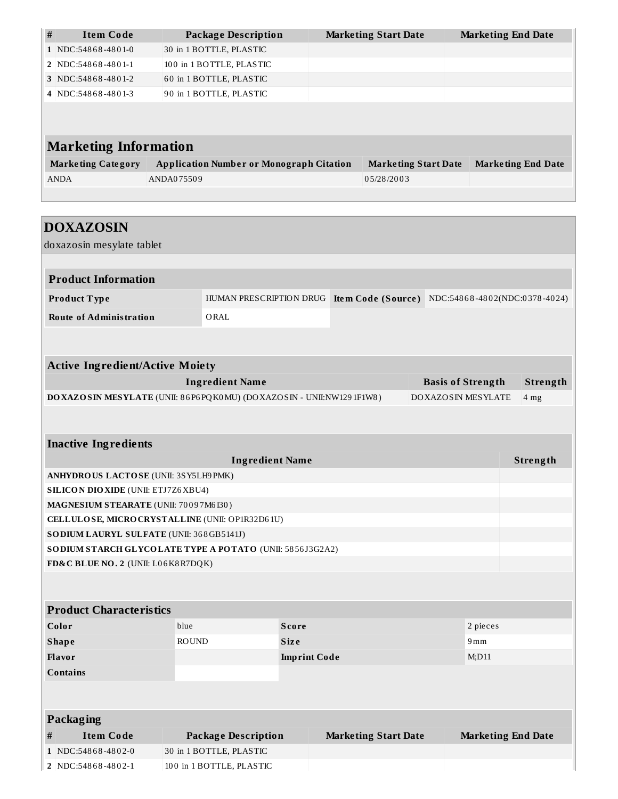| $\#$<br><b>Item Code</b>                                                                                        | <b>Package Description</b>                                     |                     | <b>Marketing Start Date</b>                                              |          | <b>Marketing End Date</b> |  |  |
|-----------------------------------------------------------------------------------------------------------------|----------------------------------------------------------------|---------------------|--------------------------------------------------------------------------|----------|---------------------------|--|--|
| 1 NDC:54868-4801-0                                                                                              | 30 in 1 BOTTLE, PLASTIC                                        |                     |                                                                          |          |                           |  |  |
| 2 NDC:54868-4801-1                                                                                              | 100 in 1 BOTTLE, PLASTIC                                       |                     |                                                                          |          |                           |  |  |
| 3 NDC:54868-4801-2                                                                                              | 60 in 1 BOTTLE, PLASTIC                                        |                     |                                                                          |          |                           |  |  |
| 4 NDC:54868-4801-3                                                                                              | 90 in 1 BOTTLE, PLASTIC                                        |                     |                                                                          |          |                           |  |  |
|                                                                                                                 |                                                                |                     |                                                                          |          |                           |  |  |
| <b>Marketing Information</b>                                                                                    |                                                                |                     |                                                                          |          |                           |  |  |
| <b>Marketing Category</b>                                                                                       | <b>Application Number or Monograph Citation</b>                |                     | <b>Marketing Start Date</b>                                              |          | <b>Marketing End Date</b> |  |  |
| <b>ANDA</b>                                                                                                     | ANDA075509                                                     |                     | 05/28/2003                                                               |          |                           |  |  |
|                                                                                                                 |                                                                |                     |                                                                          |          |                           |  |  |
|                                                                                                                 |                                                                |                     |                                                                          |          |                           |  |  |
| <b>DOXAZOSIN</b>                                                                                                |                                                                |                     |                                                                          |          |                           |  |  |
| doxazosin mesylate tablet                                                                                       |                                                                |                     |                                                                          |          |                           |  |  |
|                                                                                                                 |                                                                |                     |                                                                          |          |                           |  |  |
| <b>Product Information</b>                                                                                      |                                                                |                     |                                                                          |          |                           |  |  |
| Product Type                                                                                                    |                                                                |                     | HUMAN PRESCRIPTION DRUG Item Code (Source) NDC:54868-4802(NDC:0378-4024) |          |                           |  |  |
| <b>Route of Administration</b>                                                                                  | ORAL                                                           |                     |                                                                          |          |                           |  |  |
|                                                                                                                 |                                                                |                     |                                                                          |          |                           |  |  |
|                                                                                                                 |                                                                |                     |                                                                          |          |                           |  |  |
| <b>Active Ingredient/Active Moiety</b>                                                                          |                                                                |                     |                                                                          |          |                           |  |  |
|                                                                                                                 | <b>Ingredient Name</b><br>Strength<br><b>Basis of Strength</b> |                     |                                                                          |          |                           |  |  |
| DO XAZO SIN MESYLATE (UNII: 86P6PQK0MU) (DO XAZOSIN - UNII:NW1291F1W8)<br>DOXAZOSIN MESYLATE<br>4 <sub>mg</sub> |                                                                |                     |                                                                          |          |                           |  |  |
|                                                                                                                 |                                                                |                     |                                                                          |          |                           |  |  |
|                                                                                                                 |                                                                |                     |                                                                          |          |                           |  |  |
| <b>Inactive Ingredients</b>                                                                                     |                                                                |                     |                                                                          |          |                           |  |  |
|                                                                                                                 | <b>Ingredient Name</b>                                         |                     |                                                                          |          | Strength                  |  |  |
| ANHYDROUS LACTOSE (UNII: 3SY5LH9PMK)                                                                            |                                                                |                     |                                                                          |          |                           |  |  |
| <b>SILICON DIO XIDE (UNII: ETJ7Z6 XBU4)</b>                                                                     |                                                                |                     |                                                                          |          |                           |  |  |
| MAGNESIUM STEARATE (UNII: 70097M6I30)                                                                           |                                                                |                     |                                                                          |          |                           |  |  |
| CELLULOSE, MICRO CRYSTALLINE (UNII: OP1R32D61U)                                                                 |                                                                |                     |                                                                          |          |                           |  |  |
|                                                                                                                 |                                                                |                     | SODIUM LAURYL SULFATE (UNII: 368GB5141J)                                 |          |                           |  |  |
|                                                                                                                 | SO DIUM STARCH GLYCOLATE TYPE A POTATO (UNII: 5856J3G2A2)      |                     |                                                                          |          |                           |  |  |
| FD&C BLUE NO. 2 (UNII: L06K8R7DQK)                                                                              |                                                                |                     |                                                                          |          |                           |  |  |
|                                                                                                                 |                                                                |                     |                                                                          |          |                           |  |  |
|                                                                                                                 |                                                                |                     |                                                                          |          |                           |  |  |
|                                                                                                                 |                                                                |                     |                                                                          |          |                           |  |  |
| <b>Product Characteristics</b>                                                                                  |                                                                |                     |                                                                          |          |                           |  |  |
| Color                                                                                                           | blue                                                           | <b>Score</b>        |                                                                          | 2 pieces |                           |  |  |
| <b>Shape</b>                                                                                                    | <b>ROUND</b>                                                   | Size                |                                                                          | 9mm      |                           |  |  |
| Flavor                                                                                                          |                                                                | <b>Imprint Code</b> |                                                                          | $M;$ D11 |                           |  |  |
| <b>Contains</b>                                                                                                 |                                                                |                     |                                                                          |          |                           |  |  |
|                                                                                                                 |                                                                |                     |                                                                          |          |                           |  |  |
|                                                                                                                 |                                                                |                     |                                                                          |          |                           |  |  |
| <b>Packaging</b><br><b>Item Code</b><br>#                                                                       | <b>Package Description</b>                                     |                     | <b>Marketing Start Date</b>                                              |          | <b>Marketing End Date</b> |  |  |

**2** NDC:54868-4802-1 100 in 1 BOTTLE, PLASTIC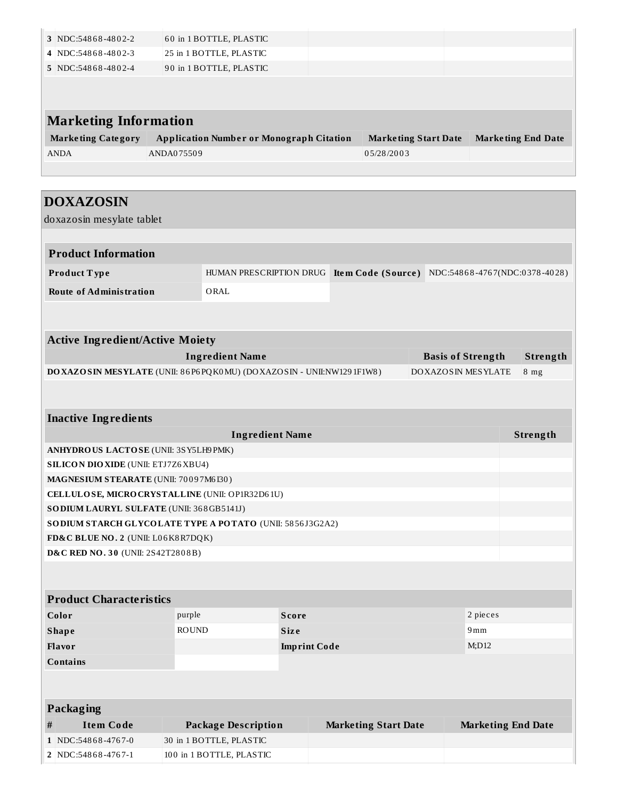| 3 NDC:54868-4802-2           | 60 in 1 BOTTLE, PLASTIC                         |                             |                           |
|------------------------------|-------------------------------------------------|-----------------------------|---------------------------|
| 4 NDC:54868-4802-3           | 25 in 1 BOTTLE, PLASTIC                         |                             |                           |
| 5 NDC:54868-4802-4           | 90 in 1 BOTTLE, PLASTIC                         |                             |                           |
|                              |                                                 |                             |                           |
|                              |                                                 |                             |                           |
| <b>Marketing Information</b> |                                                 |                             |                           |
| <b>Marketing Category</b>    | <b>Application Number or Monograph Citation</b> | <b>Marketing Start Date</b> | <b>Marketing End Date</b> |
| <b>ANDA</b>                  | ANDA075509                                      | 05/28/2003                  |                           |
|                              |                                                 |                             |                           |

| <b>DOXAZOSIN</b>                                                    |                         |                     |                                                  |                          |          |  |
|---------------------------------------------------------------------|-------------------------|---------------------|--------------------------------------------------|--------------------------|----------|--|
| doxazosin mesylate tablet                                           |                         |                     |                                                  |                          |          |  |
|                                                                     |                         |                     |                                                  |                          |          |  |
| <b>Product Information</b>                                          |                         |                     |                                                  |                          |          |  |
| Product Type                                                        | HUMAN PRESCRIPTION DRUG |                     | Item Code (Source) NDC:54868-4767(NDC:0378-4028) |                          |          |  |
| <b>Route of Administration</b>                                      | ORAL                    |                     |                                                  |                          |          |  |
|                                                                     |                         |                     |                                                  |                          |          |  |
|                                                                     |                         |                     |                                                  |                          |          |  |
| <b>Active Ingredient/Active Moiety</b>                              |                         |                     |                                                  |                          |          |  |
|                                                                     | <b>Ingredient Name</b>  |                     |                                                  | <b>Basis of Strength</b> | Strength |  |
| DOXAZOSIN MESYLATE (UNII: 86P6PQK0MU) (DOXAZOSIN - UNII:NW1291F1W8) |                         |                     |                                                  | DOXAZOSIN MESYLATE       | $8$ mg   |  |
|                                                                     |                         |                     |                                                  |                          |          |  |
|                                                                     |                         |                     |                                                  |                          |          |  |
| <b>Inactive Ingredients</b>                                         |                         |                     |                                                  |                          |          |  |
|                                                                     | <b>Ingredient Name</b>  |                     |                                                  |                          | Strength |  |
| ANHYDROUS LACTOSE (UNII: 3SY5LH9PMK)                                |                         |                     |                                                  |                          |          |  |
| <b>SILICON DIO XIDE (UNII: ETJ7Z6 XBU4)</b>                         |                         |                     |                                                  |                          |          |  |
| <b>MAGNESIUM STEARATE (UNII: 70097M6I30)</b>                        |                         |                     |                                                  |                          |          |  |
| CELLULOSE, MICRO CRYSTALLINE (UNII: OP1R32D61U)                     |                         |                     |                                                  |                          |          |  |
| SO DIUM LAURYL SULFATE (UNII: 368GB5141J)                           |                         |                     |                                                  |                          |          |  |
| SO DIUM STARCH GLYCOLATE TYPE A POTATO (UNII: 5856J3G2A2)           |                         |                     |                                                  |                          |          |  |
| FD&C BLUE NO. 2 (UNII: L06K8R7DQK)                                  |                         |                     |                                                  |                          |          |  |
| D&C RED NO. 30 (UNII: 2S42T2808B)                                   |                         |                     |                                                  |                          |          |  |
|                                                                     |                         |                     |                                                  |                          |          |  |
| <b>Product Characteristics</b>                                      |                         |                     |                                                  |                          |          |  |
| Color                                                               | purple                  | <b>Score</b>        |                                                  | 2 pieces                 |          |  |
| <b>Shape</b>                                                        | <b>ROUND</b>            | <b>Size</b>         |                                                  | 9mm                      |          |  |
| <b>Flavor</b>                                                       |                         | <b>Imprint Code</b> |                                                  | M;D12                    |          |  |
| <b>Contains</b>                                                     |                         |                     |                                                  |                          |          |  |
|                                                                     |                         |                     |                                                  |                          |          |  |
|                                                                     |                         |                     |                                                  |                          |          |  |

# **Packaging # Item Code Package Description Marketing Start Date Marketing End Date 1** NDC:548 6 8 -476 7-0 30 in 1 BOTTLE, PLASTIC **2** NDC:54868-4767-1 100 in 1 BOTTLE, PLASTIC